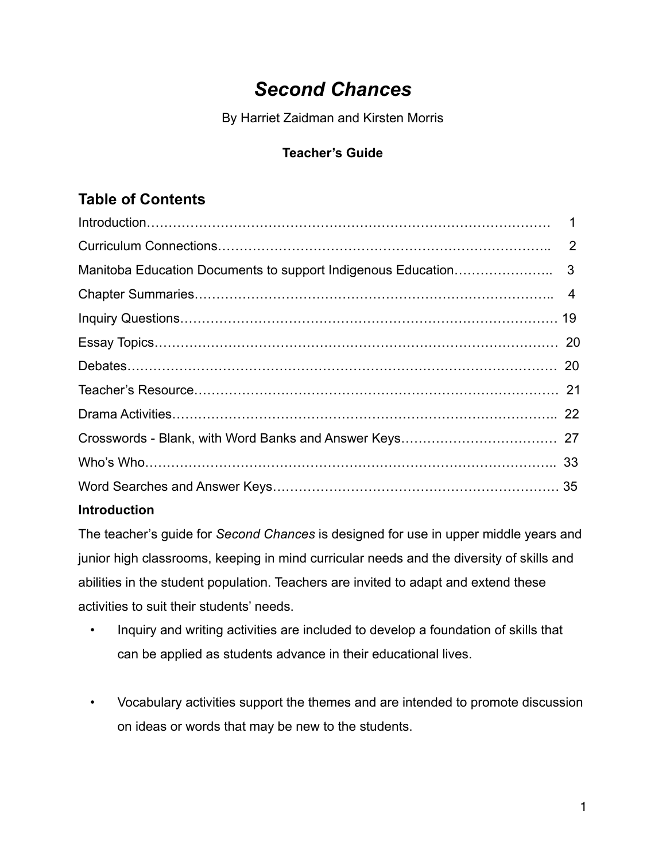# *Second Chances*

By Harriet Zaidman and Kirsten Morris

## **Teacher's Guide**

## **Table of Contents**

## **Introduction**

The teacher's guide for *Second Chances* is designed for use in upper middle years and junior high classrooms, keeping in mind curricular needs and the diversity of skills and abilities in the student population. Teachers are invited to adapt and extend these activities to suit their students' needs.

- Inquiry and writing activities are included to develop a foundation of skills that can be applied as students advance in their educational lives.
- Vocabulary activities support the themes and are intended to promote discussion on ideas or words that may be new to the students.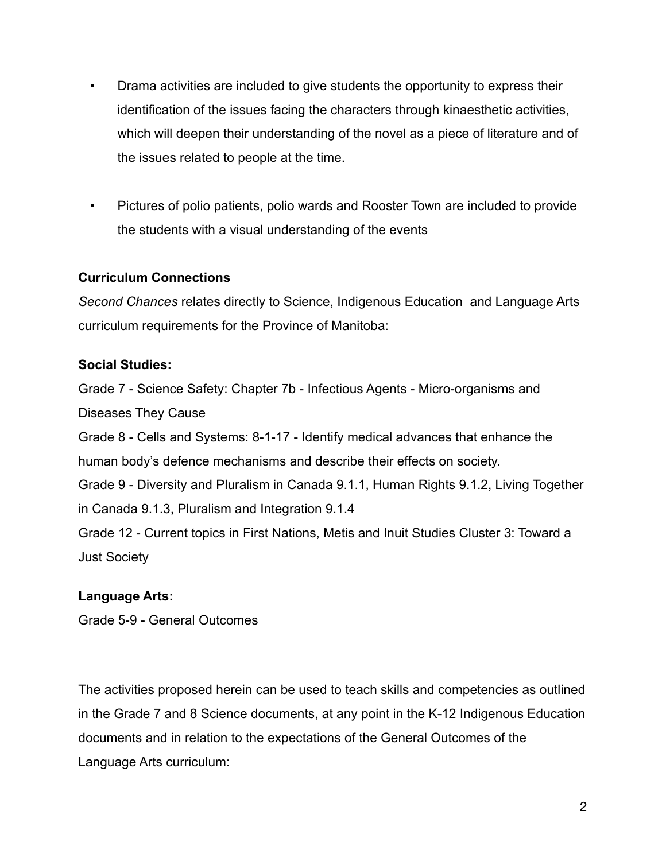- Drama activities are included to give students the opportunity to express their identification of the issues facing the characters through kinaesthetic activities, which will deepen their understanding of the novel as a piece of literature and of the issues related to people at the time.
- Pictures of polio patients, polio wards and Rooster Town are included to provide the students with a visual understanding of the events

#### **Curriculum Connections**

*Second Chances* relates directly to Science, Indigenous Education and Language Arts curriculum requirements for the Province of Manitoba:

#### **Social Studies:**

Grade 7 - Science Safety: Chapter 7b - Infectious Agents - Micro-organisms and Diseases They Cause Grade 8 - Cells and Systems: 8-1-17 - Identify medical advances that enhance the human body's defence mechanisms and describe their effects on society. Grade 9 - Diversity and Pluralism in Canada 9.1.1, Human Rights 9.1.2, Living Together in Canada 9.1.3, Pluralism and Integration 9.1.4 Grade 12 - Current topics in First Nations, Metis and Inuit Studies Cluster 3: Toward a Just Society

### **Language Arts:**

Grade 5-9 - General Outcomes

The activities proposed herein can be used to teach skills and competencies as outlined in the Grade 7 and 8 Science documents, at any point in the K-12 Indigenous Education documents and in relation to the expectations of the General Outcomes of the Language Arts curriculum: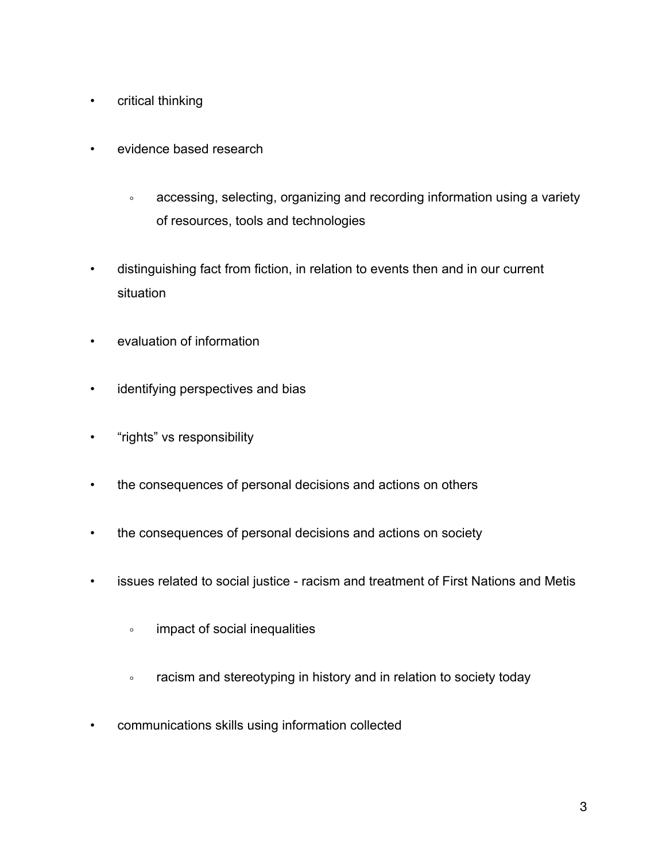- critical thinking
- evidence based research
	- accessing, selecting, organizing and recording information using a variety of resources, tools and technologies
- distinguishing fact from fiction, in relation to events then and in our current situation
- evaluation of information
- identifying perspectives and bias
- "rights" vs responsibility
- the consequences of personal decisions and actions on others
- the consequences of personal decisions and actions on society
- issues related to social justice racism and treatment of First Nations and Metis
	- impact of social inequalities
	- racism and stereotyping in history and in relation to society today
- communications skills using information collected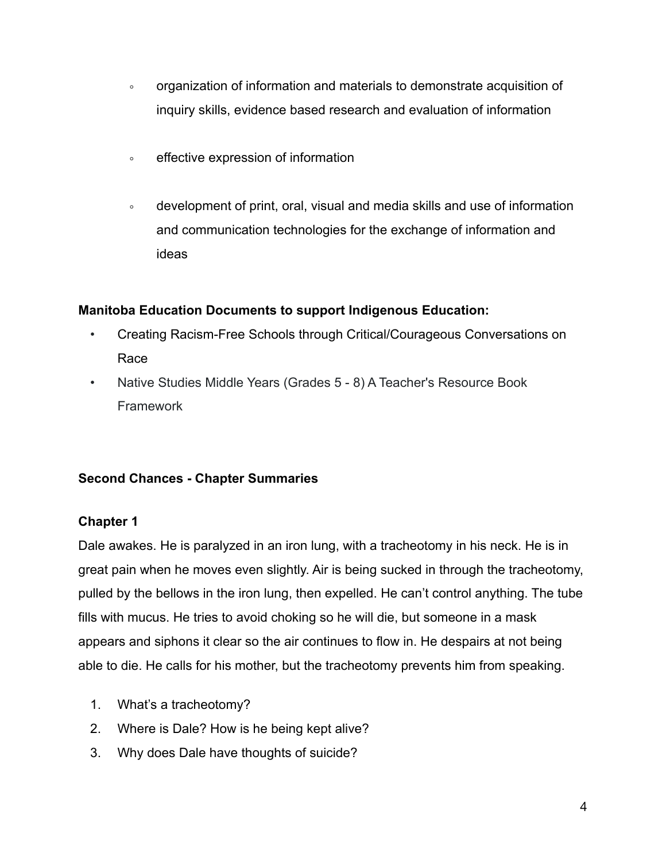- organization of information and materials to demonstrate acquisition of inquiry skills, evidence based research and evaluation of information
- effective expression of information
- development of print, oral, visual and media skills and use of information and communication technologies for the exchange of information and ideas

#### **Manitoba Education Documents to support Indigenous Education:**

- Creating Racism-Free Schools through Critical/Courageous Conversations on Race
- Native Studies Middle Years (Grades 5 8) A Teacher's Resource Book **Framework**

### **Second Chances - Chapter Summaries**

#### **Chapter 1**

Dale awakes. He is paralyzed in an iron lung, with a tracheotomy in his neck. He is in great pain when he moves even slightly. Air is being sucked in through the tracheotomy, pulled by the bellows in the iron lung, then expelled. He can't control anything. The tube fills with mucus. He tries to avoid choking so he will die, but someone in a mask appears and siphons it clear so the air continues to flow in. He despairs at not being able to die. He calls for his mother, but the tracheotomy prevents him from speaking.

- 1. What's a tracheotomy?
- 2. Where is Dale? How is he being kept alive?
- 3. Why does Dale have thoughts of suicide?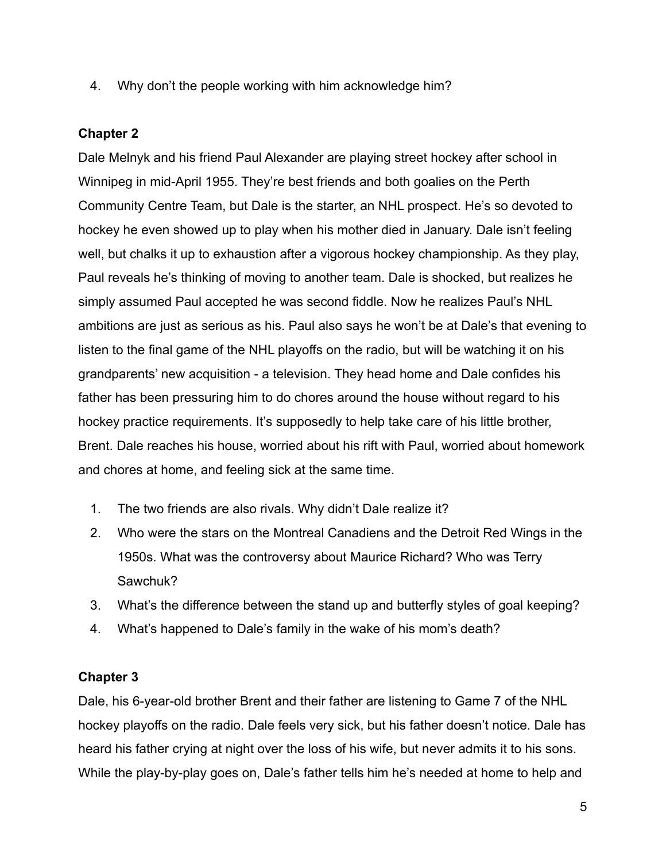4. Why don't the people working with him acknowledge him?

### **Chapter 2**

Dale Melnyk and his friend Paul Alexander are playing street hockey after school in Winnipeg in mid-April 1955. They're best friends and both goalies on the Perth Community Centre Team, but Dale is the starter, an NHL prospect. He's so devoted to hockey he even showed up to play when his mother died in January. Dale isn't feeling well, but chalks it up to exhaustion after a vigorous hockey championship. As they play, Paul reveals he's thinking of moving to another team. Dale is shocked, but realizes he simply assumed Paul accepted he was second fiddle. Now he realizes Paul's NHL ambitions are just as serious as his. Paul also says he won't be at Dale's that evening to listen to the final game of the NHL playoffs on the radio, but will be watching it on his grandparents' new acquisition - a television. They head home and Dale confides his father has been pressuring him to do chores around the house without regard to his hockey practice requirements. It's supposedly to help take care of his little brother, Brent. Dale reaches his house, worried about his rift with Paul, worried about homework and chores at home, and feeling sick at the same time.

- 1. The two friends are also rivals. Why didn't Dale realize it?
- 2. Who were the stars on the Montreal Canadiens and the Detroit Red Wings in the 1950s. What was the controversy about Maurice Richard? Who was Terry Sawchuk?
- 3. What's the difference between the stand up and butterfly styles of goal keeping?
- 4. What's happened to Dale's family in the wake of his mom's death?

#### **Chapter 3**

Dale, his 6-year-old brother Brent and their father are listening to Game 7 of the NHL hockey playoffs on the radio. Dale feels very sick, but his father doesn't notice. Dale has heard his father crying at night over the loss of his wife, but never admits it to his sons. While the play-by-play goes on, Dale's father tells him he's needed at home to help and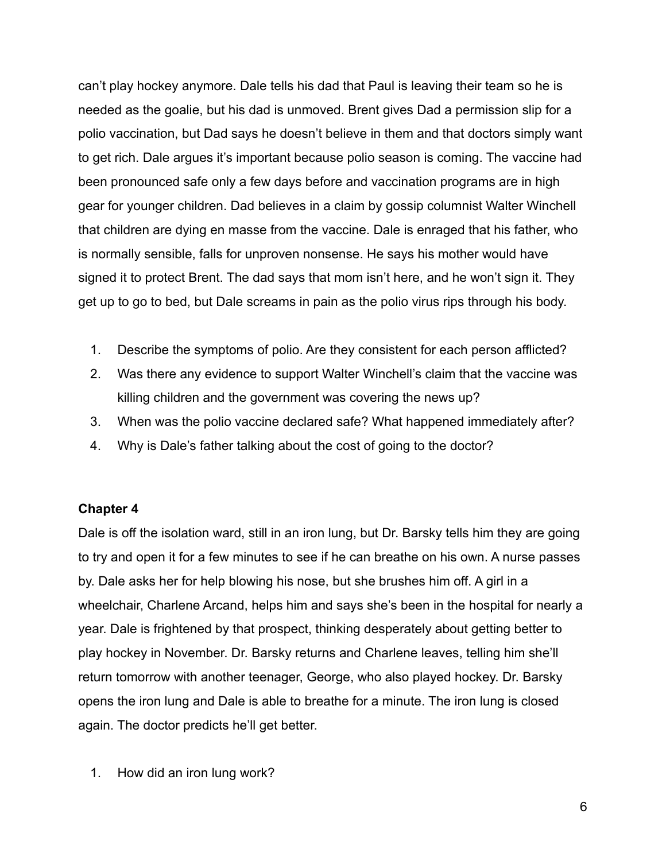can't play hockey anymore. Dale tells his dad that Paul is leaving their team so he is needed as the goalie, but his dad is unmoved. Brent gives Dad a permission slip for a polio vaccination, but Dad says he doesn't believe in them and that doctors simply want to get rich. Dale argues it's important because polio season is coming. The vaccine had been pronounced safe only a few days before and vaccination programs are in high gear for younger children. Dad believes in a claim by gossip columnist Walter Winchell that children are dying en masse from the vaccine. Dale is enraged that his father, who is normally sensible, falls for unproven nonsense. He says his mother would have signed it to protect Brent. The dad says that mom isn't here, and he won't sign it. They get up to go to bed, but Dale screams in pain as the polio virus rips through his body.

- 1. Describe the symptoms of polio. Are they consistent for each person afflicted?
- 2. Was there any evidence to support Walter Winchell's claim that the vaccine was killing children and the government was covering the news up?
- 3. When was the polio vaccine declared safe? What happened immediately after?
- 4. Why is Dale's father talking about the cost of going to the doctor?

#### **Chapter 4**

Dale is off the isolation ward, still in an iron lung, but Dr. Barsky tells him they are going to try and open it for a few minutes to see if he can breathe on his own. A nurse passes by. Dale asks her for help blowing his nose, but she brushes him off. A girl in a wheelchair, Charlene Arcand, helps him and says she's been in the hospital for nearly a year. Dale is frightened by that prospect, thinking desperately about getting better to play hockey in November. Dr. Barsky returns and Charlene leaves, telling him she'll return tomorrow with another teenager, George, who also played hockey. Dr. Barsky opens the iron lung and Dale is able to breathe for a minute. The iron lung is closed again. The doctor predicts he'll get better.

1. How did an iron lung work?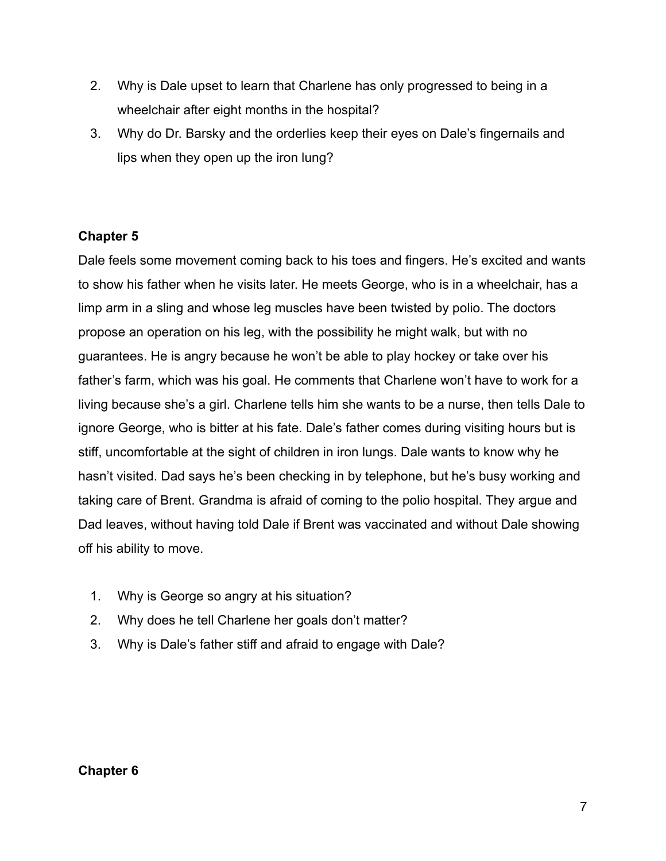- 2. Why is Dale upset to learn that Charlene has only progressed to being in a wheelchair after eight months in the hospital?
- 3. Why do Dr. Barsky and the orderlies keep their eyes on Dale's fingernails and lips when they open up the iron lung?

## **Chapter 5**

Dale feels some movement coming back to his toes and fingers. He's excited and wants to show his father when he visits later. He meets George, who is in a wheelchair, has a limp arm in a sling and whose leg muscles have been twisted by polio. The doctors propose an operation on his leg, with the possibility he might walk, but with no guarantees. He is angry because he won't be able to play hockey or take over his father's farm, which was his goal. He comments that Charlene won't have to work for a living because she's a girl. Charlene tells him she wants to be a nurse, then tells Dale to ignore George, who is bitter at his fate. Dale's father comes during visiting hours but is stiff, uncomfortable at the sight of children in iron lungs. Dale wants to know why he hasn't visited. Dad says he's been checking in by telephone, but he's busy working and taking care of Brent. Grandma is afraid of coming to the polio hospital. They argue and Dad leaves, without having told Dale if Brent was vaccinated and without Dale showing off his ability to move.

- 1. Why is George so angry at his situation?
- 2. Why does he tell Charlene her goals don't matter?
- 3. Why is Dale's father stiff and afraid to engage with Dale?

### **Chapter 6**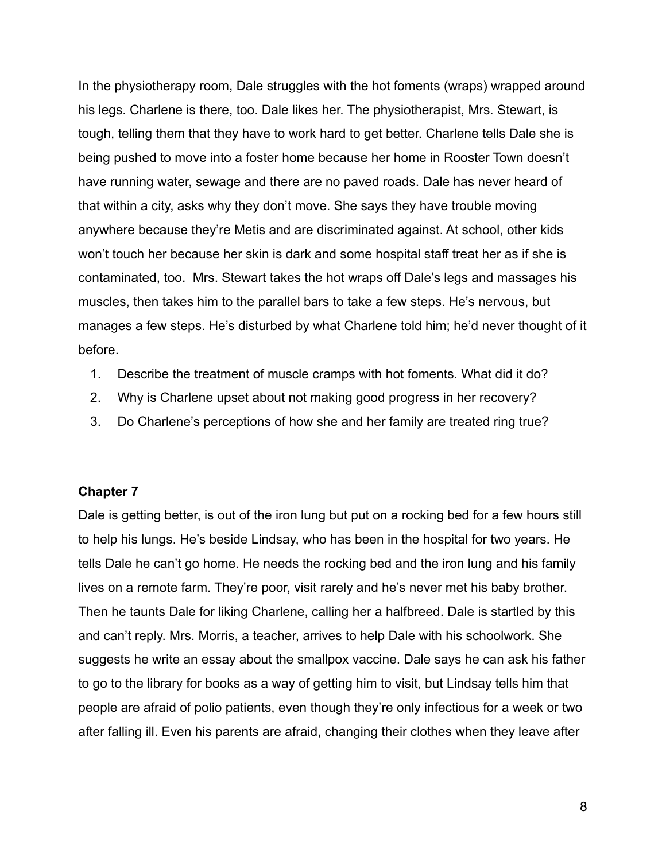In the physiotherapy room, Dale struggles with the hot foments (wraps) wrapped around his legs. Charlene is there, too. Dale likes her. The physiotherapist, Mrs. Stewart, is tough, telling them that they have to work hard to get better. Charlene tells Dale she is being pushed to move into a foster home because her home in Rooster Town doesn't have running water, sewage and there are no paved roads. Dale has never heard of that within a city, asks why they don't move. She says they have trouble moving anywhere because they're Metis and are discriminated against. At school, other kids won't touch her because her skin is dark and some hospital staff treat her as if she is contaminated, too. Mrs. Stewart takes the hot wraps off Dale's legs and massages his muscles, then takes him to the parallel bars to take a few steps. He's nervous, but manages a few steps. He's disturbed by what Charlene told him; he'd never thought of it before.

- 1. Describe the treatment of muscle cramps with hot foments. What did it do?
- 2. Why is Charlene upset about not making good progress in her recovery?
- 3. Do Charlene's perceptions of how she and her family are treated ring true?

#### **Chapter 7**

Dale is getting better, is out of the iron lung but put on a rocking bed for a few hours still to help his lungs. He's beside Lindsay, who has been in the hospital for two years. He tells Dale he can't go home. He needs the rocking bed and the iron lung and his family lives on a remote farm. They're poor, visit rarely and he's never met his baby brother. Then he taunts Dale for liking Charlene, calling her a halfbreed. Dale is startled by this and can't reply. Mrs. Morris, a teacher, arrives to help Dale with his schoolwork. She suggests he write an essay about the smallpox vaccine. Dale says he can ask his father to go to the library for books as a way of getting him to visit, but Lindsay tells him that people are afraid of polio patients, even though they're only infectious for a week or two after falling ill. Even his parents are afraid, changing their clothes when they leave after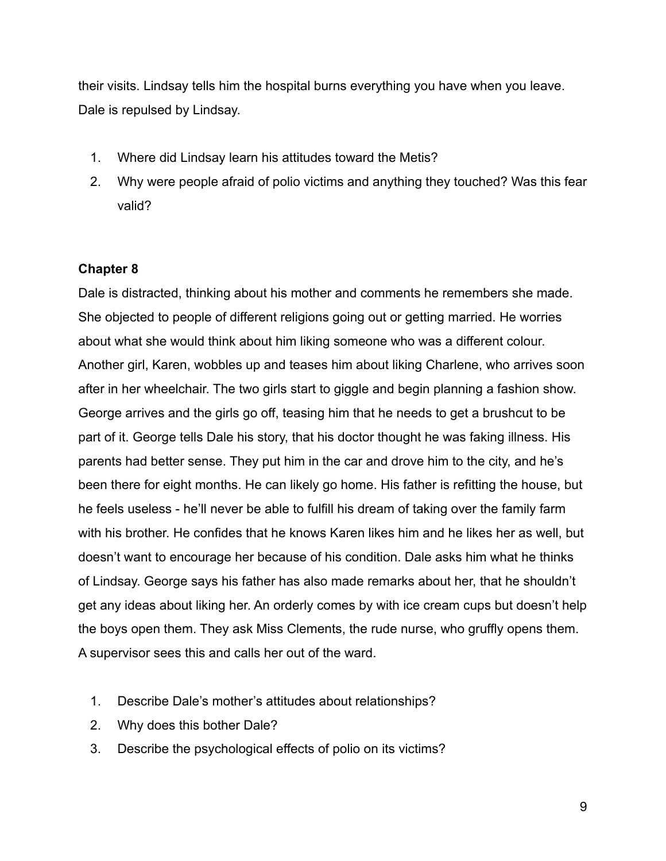their visits. Lindsay tells him the hospital burns everything you have when you leave. Dale is repulsed by Lindsay.

- 1. Where did Lindsay learn his attitudes toward the Metis?
- 2. Why were people afraid of polio victims and anything they touched? Was this fear valid?

### **Chapter 8**

Dale is distracted, thinking about his mother and comments he remembers she made. She objected to people of different religions going out or getting married. He worries about what she would think about him liking someone who was a different colour. Another girl, Karen, wobbles up and teases him about liking Charlene, who arrives soon after in her wheelchair. The two girls start to giggle and begin planning a fashion show. George arrives and the girls go off, teasing him that he needs to get a brushcut to be part of it. George tells Dale his story, that his doctor thought he was faking illness. His parents had better sense. They put him in the car and drove him to the city, and he's been there for eight months. He can likely go home. His father is refitting the house, but he feels useless - he'll never be able to fulfill his dream of taking over the family farm with his brother. He confides that he knows Karen likes him and he likes her as well, but doesn't want to encourage her because of his condition. Dale asks him what he thinks of Lindsay. George says his father has also made remarks about her, that he shouldn't get any ideas about liking her. An orderly comes by with ice cream cups but doesn't help the boys open them. They ask Miss Clements, the rude nurse, who gruffly opens them. A supervisor sees this and calls her out of the ward.

- 1. Describe Dale's mother's attitudes about relationships?
- 2. Why does this bother Dale?
- 3. Describe the psychological effects of polio on its victims?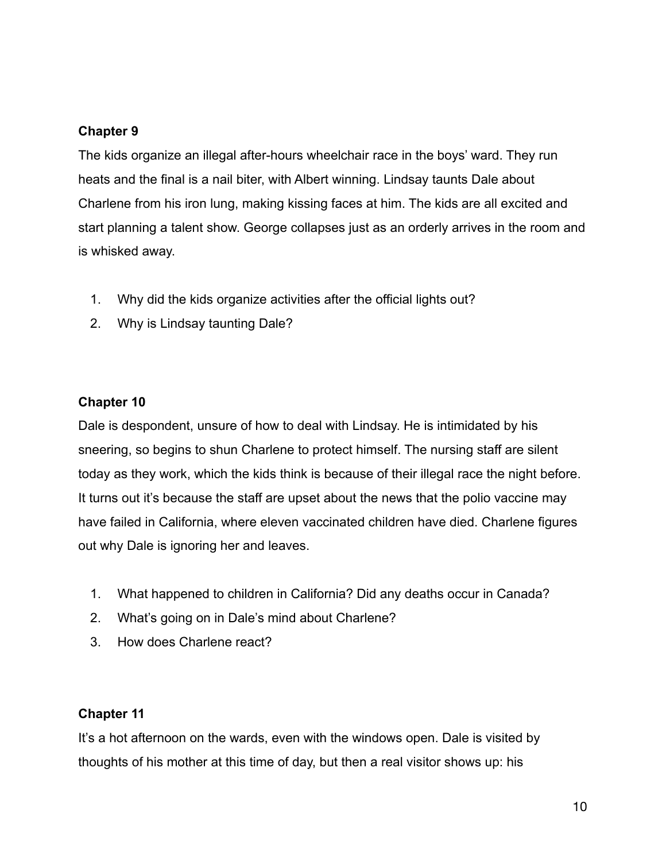### **Chapter 9**

The kids organize an illegal after-hours wheelchair race in the boys' ward. They run heats and the final is a nail biter, with Albert winning. Lindsay taunts Dale about Charlene from his iron lung, making kissing faces at him. The kids are all excited and start planning a talent show. George collapses just as an orderly arrives in the room and is whisked away.

- 1. Why did the kids organize activities after the official lights out?
- 2. Why is Lindsay taunting Dale?

#### **Chapter 10**

Dale is despondent, unsure of how to deal with Lindsay. He is intimidated by his sneering, so begins to shun Charlene to protect himself. The nursing staff are silent today as they work, which the kids think is because of their illegal race the night before. It turns out it's because the staff are upset about the news that the polio vaccine may have failed in California, where eleven vaccinated children have died. Charlene figures out why Dale is ignoring her and leaves.

- 1. What happened to children in California? Did any deaths occur in Canada?
- 2. What's going on in Dale's mind about Charlene?
- 3. How does Charlene react?

#### **Chapter 11**

It's a hot afternoon on the wards, even with the windows open. Dale is visited by thoughts of his mother at this time of day, but then a real visitor shows up: his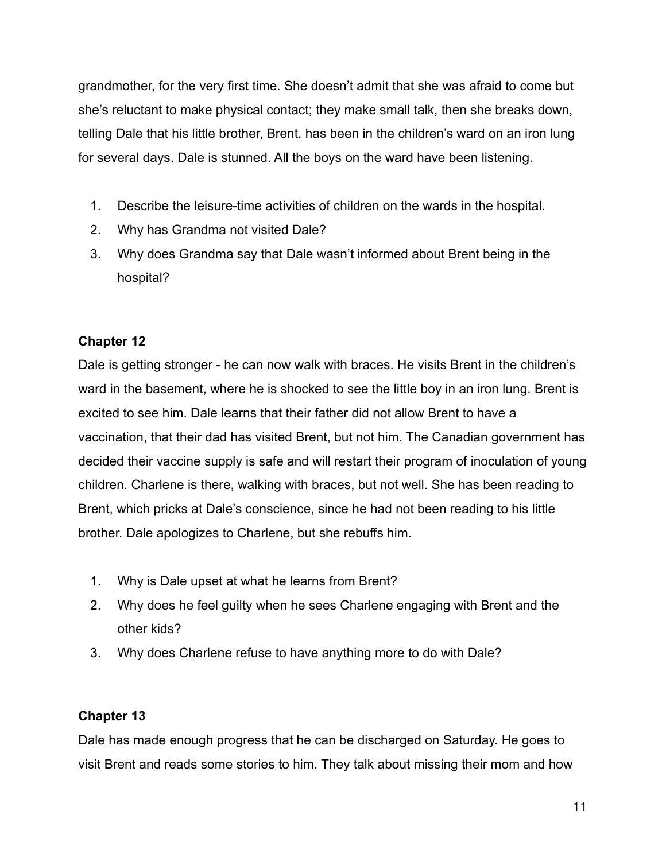grandmother, for the very first time. She doesn't admit that she was afraid to come but she's reluctant to make physical contact; they make small talk, then she breaks down, telling Dale that his little brother, Brent, has been in the children's ward on an iron lung for several days. Dale is stunned. All the boys on the ward have been listening.

- 1. Describe the leisure-time activities of children on the wards in the hospital.
- 2. Why has Grandma not visited Dale?
- 3. Why does Grandma say that Dale wasn't informed about Brent being in the hospital?

### **Chapter 12**

Dale is getting stronger - he can now walk with braces. He visits Brent in the children's ward in the basement, where he is shocked to see the little boy in an iron lung. Brent is excited to see him. Dale learns that their father did not allow Brent to have a vaccination, that their dad has visited Brent, but not him. The Canadian government has decided their vaccine supply is safe and will restart their program of inoculation of young children. Charlene is there, walking with braces, but not well. She has been reading to Brent, which pricks at Dale's conscience, since he had not been reading to his little brother. Dale apologizes to Charlene, but she rebuffs him.

- 1. Why is Dale upset at what he learns from Brent?
- 2. Why does he feel guilty when he sees Charlene engaging with Brent and the other kids?
- 3. Why does Charlene refuse to have anything more to do with Dale?

## **Chapter 13**

Dale has made enough progress that he can be discharged on Saturday. He goes to visit Brent and reads some stories to him. They talk about missing their mom and how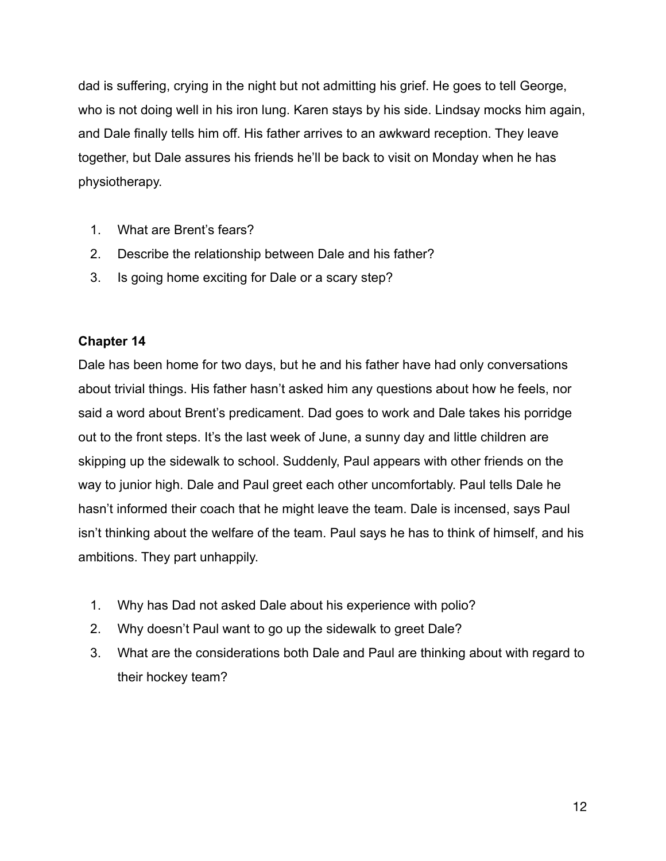dad is suffering, crying in the night but not admitting his grief. He goes to tell George, who is not doing well in his iron lung. Karen stays by his side. Lindsay mocks him again, and Dale finally tells him off. His father arrives to an awkward reception. They leave together, but Dale assures his friends he'll be back to visit on Monday when he has physiotherapy.

- 1. What are Brent's fears?
- 2. Describe the relationship between Dale and his father?
- 3. Is going home exciting for Dale or a scary step?

### **Chapter 14**

Dale has been home for two days, but he and his father have had only conversations about trivial things. His father hasn't asked him any questions about how he feels, nor said a word about Brent's predicament. Dad goes to work and Dale takes his porridge out to the front steps. It's the last week of June, a sunny day and little children are skipping up the sidewalk to school. Suddenly, Paul appears with other friends on the way to junior high. Dale and Paul greet each other uncomfortably. Paul tells Dale he hasn't informed their coach that he might leave the team. Dale is incensed, says Paul isn't thinking about the welfare of the team. Paul says he has to think of himself, and his ambitions. They part unhappily.

- 1. Why has Dad not asked Dale about his experience with polio?
- 2. Why doesn't Paul want to go up the sidewalk to greet Dale?
- 3. What are the considerations both Dale and Paul are thinking about with regard to their hockey team?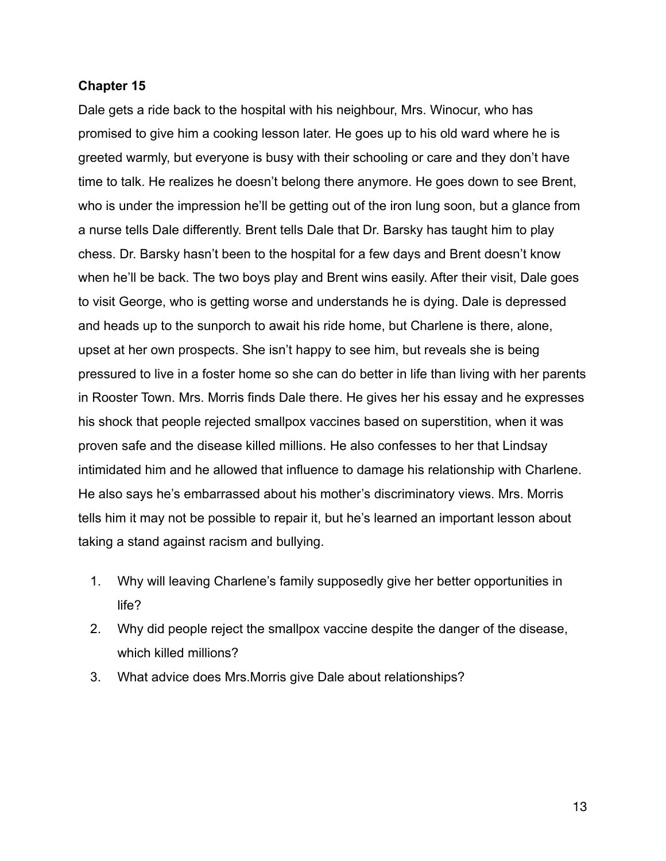#### **Chapter 15**

Dale gets a ride back to the hospital with his neighbour, Mrs. Winocur, who has promised to give him a cooking lesson later. He goes up to his old ward where he is greeted warmly, but everyone is busy with their schooling or care and they don't have time to talk. He realizes he doesn't belong there anymore. He goes down to see Brent, who is under the impression he'll be getting out of the iron lung soon, but a glance from a nurse tells Dale differently. Brent tells Dale that Dr. Barsky has taught him to play chess. Dr. Barsky hasn't been to the hospital for a few days and Brent doesn't know when he'll be back. The two boys play and Brent wins easily. After their visit, Dale goes to visit George, who is getting worse and understands he is dying. Dale is depressed and heads up to the sunporch to await his ride home, but Charlene is there, alone, upset at her own prospects. She isn't happy to see him, but reveals she is being pressured to live in a foster home so she can do better in life than living with her parents in Rooster Town. Mrs. Morris finds Dale there. He gives her his essay and he expresses his shock that people rejected smallpox vaccines based on superstition, when it was proven safe and the disease killed millions. He also confesses to her that Lindsay intimidated him and he allowed that influence to damage his relationship with Charlene. He also says he's embarrassed about his mother's discriminatory views. Mrs. Morris tells him it may not be possible to repair it, but he's learned an important lesson about taking a stand against racism and bullying.

- 1. Why will leaving Charlene's family supposedly give her better opportunities in life?
- 2. Why did people reject the smallpox vaccine despite the danger of the disease, which killed millions?
- 3. What advice does Mrs.Morris give Dale about relationships?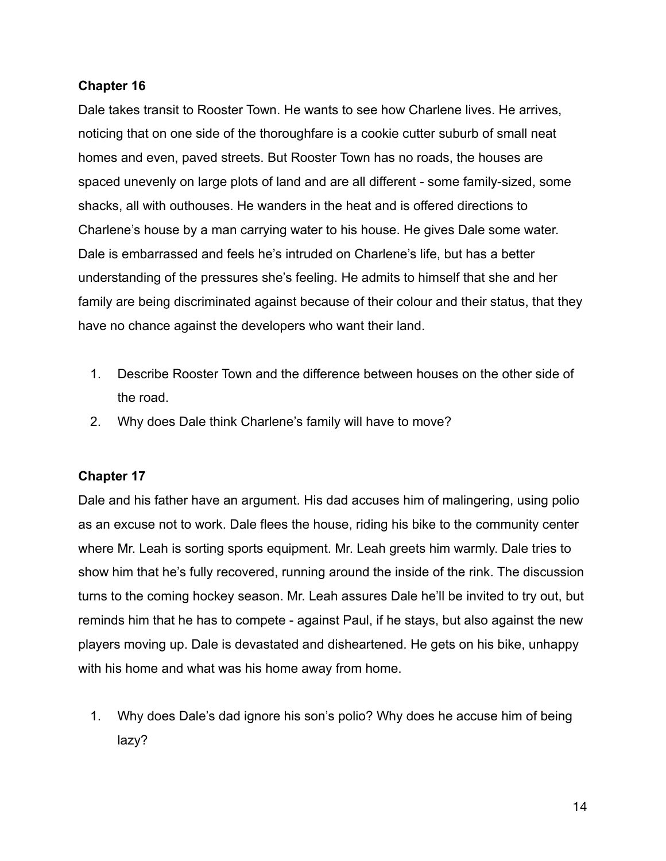#### **Chapter 16**

Dale takes transit to Rooster Town. He wants to see how Charlene lives. He arrives, noticing that on one side of the thoroughfare is a cookie cutter suburb of small neat homes and even, paved streets. But Rooster Town has no roads, the houses are spaced unevenly on large plots of land and are all different - some family-sized, some shacks, all with outhouses. He wanders in the heat and is offered directions to Charlene's house by a man carrying water to his house. He gives Dale some water. Dale is embarrassed and feels he's intruded on Charlene's life, but has a better understanding of the pressures she's feeling. He admits to himself that she and her family are being discriminated against because of their colour and their status, that they have no chance against the developers who want their land.

- 1. Describe Rooster Town and the difference between houses on the other side of the road.
- 2. Why does Dale think Charlene's family will have to move?

### **Chapter 17**

Dale and his father have an argument. His dad accuses him of malingering, using polio as an excuse not to work. Dale flees the house, riding his bike to the community center where Mr. Leah is sorting sports equipment. Mr. Leah greets him warmly. Dale tries to show him that he's fully recovered, running around the inside of the rink. The discussion turns to the coming hockey season. Mr. Leah assures Dale he'll be invited to try out, but reminds him that he has to compete - against Paul, if he stays, but also against the new players moving up. Dale is devastated and disheartened. He gets on his bike, unhappy with his home and what was his home away from home.

1. Why does Dale's dad ignore his son's polio? Why does he accuse him of being lazy?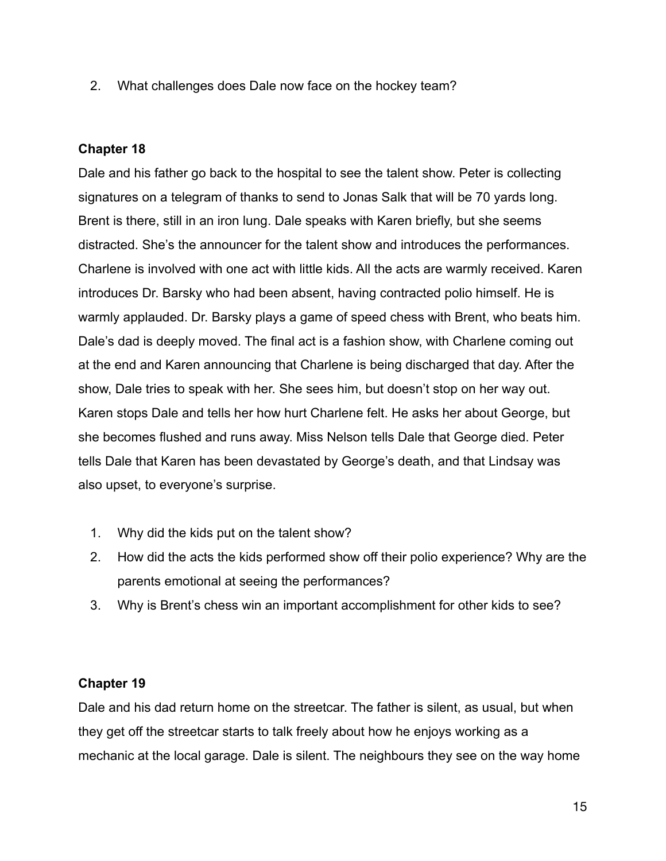2. What challenges does Dale now face on the hockey team?

#### **Chapter 18**

Dale and his father go back to the hospital to see the talent show. Peter is collecting signatures on a telegram of thanks to send to Jonas Salk that will be 70 yards long. Brent is there, still in an iron lung. Dale speaks with Karen briefly, but she seems distracted. She's the announcer for the talent show and introduces the performances. Charlene is involved with one act with little kids. All the acts are warmly received. Karen introduces Dr. Barsky who had been absent, having contracted polio himself. He is warmly applauded. Dr. Barsky plays a game of speed chess with Brent, who beats him. Dale's dad is deeply moved. The final act is a fashion show, with Charlene coming out at the end and Karen announcing that Charlene is being discharged that day. After the show, Dale tries to speak with her. She sees him, but doesn't stop on her way out. Karen stops Dale and tells her how hurt Charlene felt. He asks her about George, but she becomes flushed and runs away. Miss Nelson tells Dale that George died. Peter tells Dale that Karen has been devastated by George's death, and that Lindsay was also upset, to everyone's surprise.

- 1. Why did the kids put on the talent show?
- 2. How did the acts the kids performed show off their polio experience? Why are the parents emotional at seeing the performances?
- 3. Why is Brent's chess win an important accomplishment for other kids to see?

### **Chapter 19**

Dale and his dad return home on the streetcar. The father is silent, as usual, but when they get off the streetcar starts to talk freely about how he enjoys working as a mechanic at the local garage. Dale is silent. The neighbours they see on the way home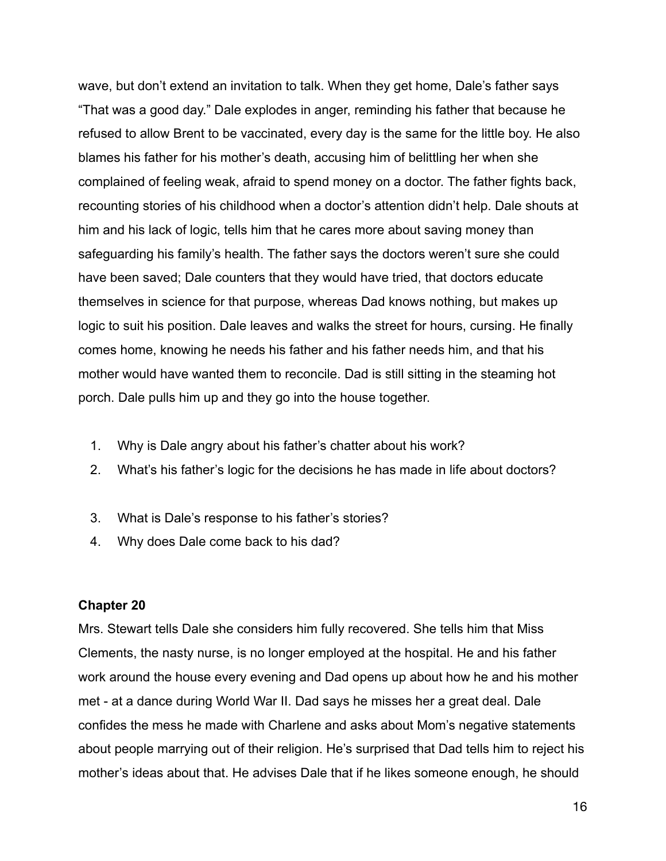wave, but don't extend an invitation to talk. When they get home, Dale's father says "That was a good day." Dale explodes in anger, reminding his father that because he refused to allow Brent to be vaccinated, every day is the same for the little boy. He also blames his father for his mother's death, accusing him of belittling her when she complained of feeling weak, afraid to spend money on a doctor. The father fights back, recounting stories of his childhood when a doctor's attention didn't help. Dale shouts at him and his lack of logic, tells him that he cares more about saving money than safeguarding his family's health. The father says the doctors weren't sure she could have been saved; Dale counters that they would have tried, that doctors educate themselves in science for that purpose, whereas Dad knows nothing, but makes up logic to suit his position. Dale leaves and walks the street for hours, cursing. He finally comes home, knowing he needs his father and his father needs him, and that his mother would have wanted them to reconcile. Dad is still sitting in the steaming hot porch. Dale pulls him up and they go into the house together.

- 1. Why is Dale angry about his father's chatter about his work?
- 2. What's his father's logic for the decisions he has made in life about doctors?
- 3. What is Dale's response to his father's stories?
- 4. Why does Dale come back to his dad?

#### **Chapter 20**

Mrs. Stewart tells Dale she considers him fully recovered. She tells him that Miss Clements, the nasty nurse, is no longer employed at the hospital. He and his father work around the house every evening and Dad opens up about how he and his mother met - at a dance during World War II. Dad says he misses her a great deal. Dale confides the mess he made with Charlene and asks about Mom's negative statements about people marrying out of their religion. He's surprised that Dad tells him to reject his mother's ideas about that. He advises Dale that if he likes someone enough, he should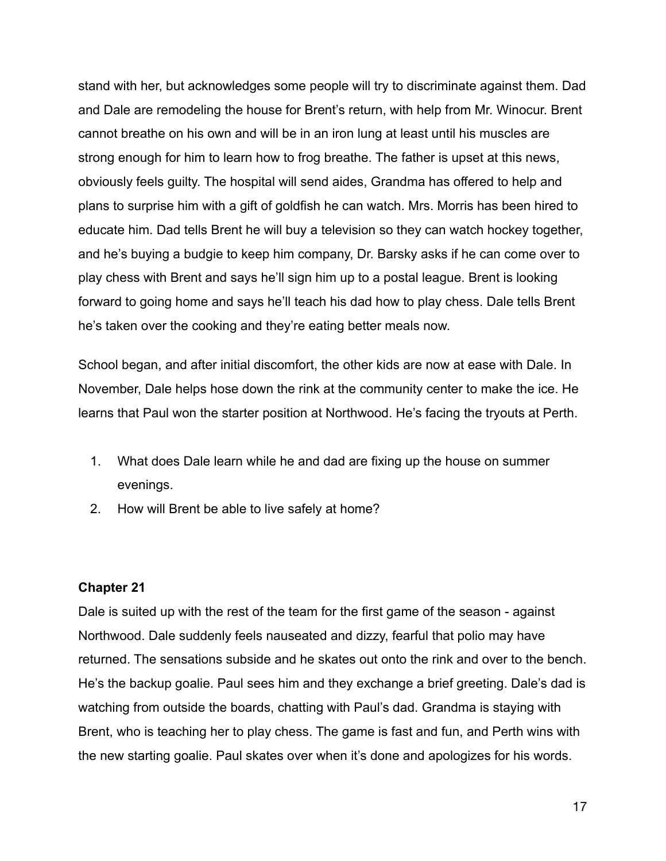stand with her, but acknowledges some people will try to discriminate against them. Dad and Dale are remodeling the house for Brent's return, with help from Mr. Winocur. Brent cannot breathe on his own and will be in an iron lung at least until his muscles are strong enough for him to learn how to frog breathe. The father is upset at this news, obviously feels guilty. The hospital will send aides, Grandma has offered to help and plans to surprise him with a gift of goldfish he can watch. Mrs. Morris has been hired to educate him. Dad tells Brent he will buy a television so they can watch hockey together, and he's buying a budgie to keep him company, Dr. Barsky asks if he can come over to play chess with Brent and says he'll sign him up to a postal league. Brent is looking forward to going home and says he'll teach his dad how to play chess. Dale tells Brent he's taken over the cooking and they're eating better meals now.

School began, and after initial discomfort, the other kids are now at ease with Dale. In November, Dale helps hose down the rink at the community center to make the ice. He learns that Paul won the starter position at Northwood. He's facing the tryouts at Perth.

- 1. What does Dale learn while he and dad are fixing up the house on summer evenings.
- 2. How will Brent be able to live safely at home?

#### **Chapter 21**

Dale is suited up with the rest of the team for the first game of the season - against Northwood. Dale suddenly feels nauseated and dizzy, fearful that polio may have returned. The sensations subside and he skates out onto the rink and over to the bench. He's the backup goalie. Paul sees him and they exchange a brief greeting. Dale's dad is watching from outside the boards, chatting with Paul's dad. Grandma is staying with Brent, who is teaching her to play chess. The game is fast and fun, and Perth wins with the new starting goalie. Paul skates over when it's done and apologizes for his words.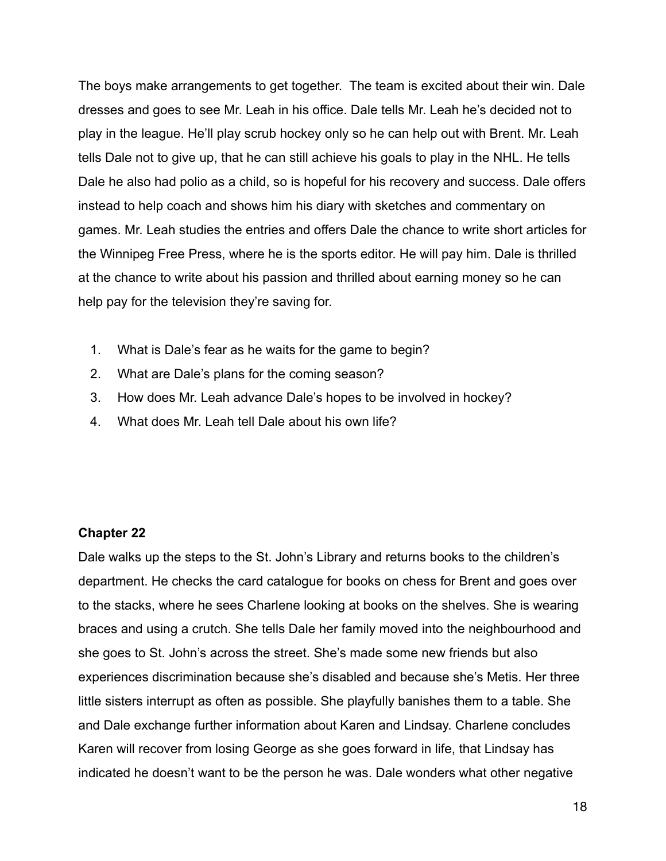The boys make arrangements to get together. The team is excited about their win. Dale dresses and goes to see Mr. Leah in his office. Dale tells Mr. Leah he's decided not to play in the league. He'll play scrub hockey only so he can help out with Brent. Mr. Leah tells Dale not to give up, that he can still achieve his goals to play in the NHL. He tells Dale he also had polio as a child, so is hopeful for his recovery and success. Dale offers instead to help coach and shows him his diary with sketches and commentary on games. Mr. Leah studies the entries and offers Dale the chance to write short articles for the Winnipeg Free Press, where he is the sports editor. He will pay him. Dale is thrilled at the chance to write about his passion and thrilled about earning money so he can help pay for the television they're saving for.

- 1. What is Dale's fear as he waits for the game to begin?
- 2. What are Dale's plans for the coming season?
- 3. How does Mr. Leah advance Dale's hopes to be involved in hockey?
- 4. What does Mr. Leah tell Dale about his own life?

#### **Chapter 22**

Dale walks up the steps to the St. John's Library and returns books to the children's department. He checks the card catalogue for books on chess for Brent and goes over to the stacks, where he sees Charlene looking at books on the shelves. She is wearing braces and using a crutch. She tells Dale her family moved into the neighbourhood and she goes to St. John's across the street. She's made some new friends but also experiences discrimination because she's disabled and because she's Metis. Her three little sisters interrupt as often as possible. She playfully banishes them to a table. She and Dale exchange further information about Karen and Lindsay. Charlene concludes Karen will recover from losing George as she goes forward in life, that Lindsay has indicated he doesn't want to be the person he was. Dale wonders what other negative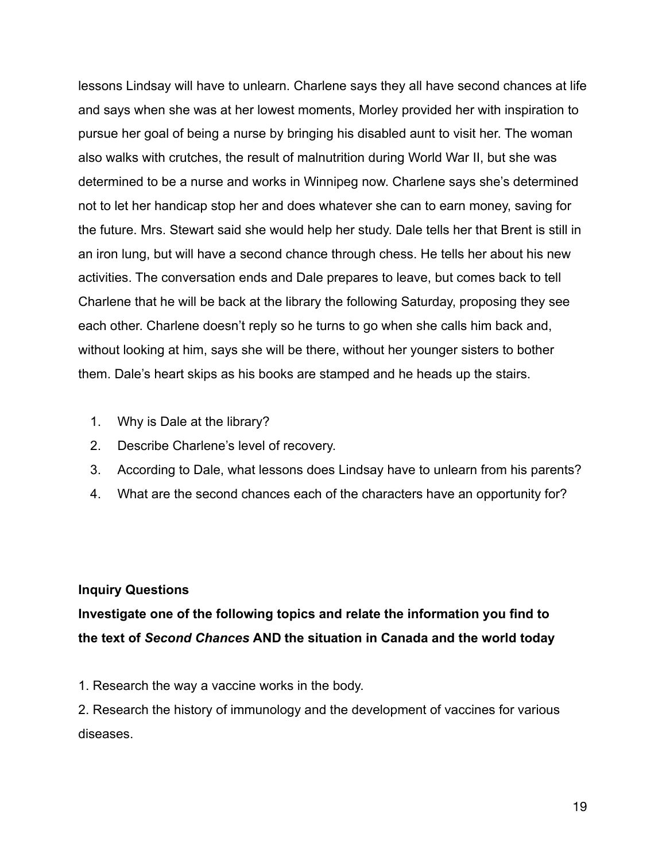lessons Lindsay will have to unlearn. Charlene says they all have second chances at life and says when she was at her lowest moments, Morley provided her with inspiration to pursue her goal of being a nurse by bringing his disabled aunt to visit her. The woman also walks with crutches, the result of malnutrition during World War II, but she was determined to be a nurse and works in Winnipeg now. Charlene says she's determined not to let her handicap stop her and does whatever she can to earn money, saving for the future. Mrs. Stewart said she would help her study. Dale tells her that Brent is still in an iron lung, but will have a second chance through chess. He tells her about his new activities. The conversation ends and Dale prepares to leave, but comes back to tell Charlene that he will be back at the library the following Saturday, proposing they see each other. Charlene doesn't reply so he turns to go when she calls him back and, without looking at him, says she will be there, without her younger sisters to bother them. Dale's heart skips as his books are stamped and he heads up the stairs.

- 1. Why is Dale at the library?
- 2. Describe Charlene's level of recovery.
- 3. According to Dale, what lessons does Lindsay have to unlearn from his parents?
- 4. What are the second chances each of the characters have an opportunity for?

#### **Inquiry Questions**

## **Investigate one of the following topics and relate the information you find to the text of** *Second Chances* **AND the situation in Canada and the world today**

1. Research the way a vaccine works in the body.

2. Research the history of immunology and the development of vaccines for various diseases.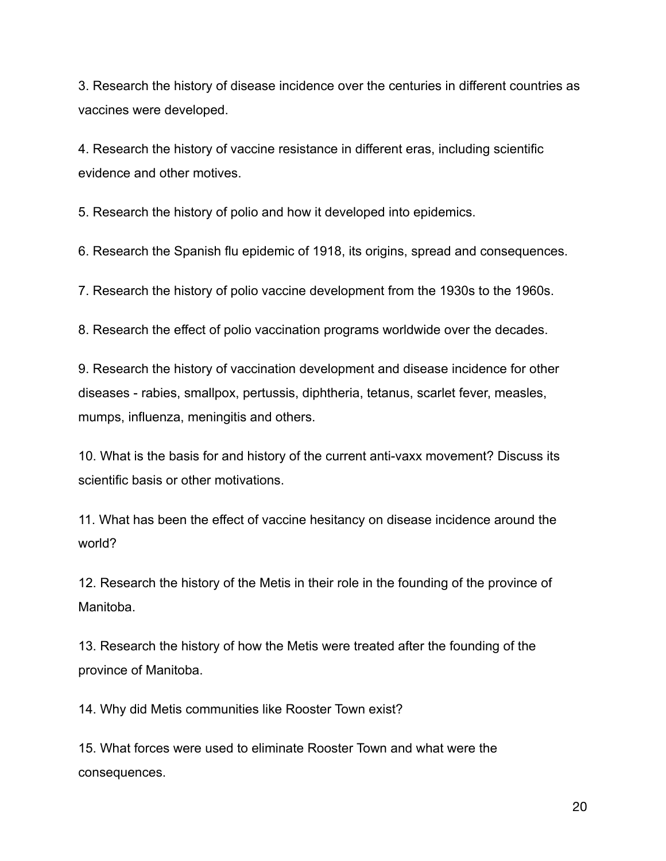3. Research the history of disease incidence over the centuries in different countries as vaccines were developed.

4. Research the history of vaccine resistance in different eras, including scientific evidence and other motives.

5. Research the history of polio and how it developed into epidemics.

6. Research the Spanish flu epidemic of 1918, its origins, spread and consequences.

7. Research the history of polio vaccine development from the 1930s to the 1960s.

8. Research the effect of polio vaccination programs worldwide over the decades.

9. Research the history of vaccination development and disease incidence for other diseases - rabies, smallpox, pertussis, diphtheria, tetanus, scarlet fever, measles, mumps, influenza, meningitis and others.

10. What is the basis for and history of the current anti-vaxx movement? Discuss its scientific basis or other motivations.

11. What has been the effect of vaccine hesitancy on disease incidence around the world?

12. Research the history of the Metis in their role in the founding of the province of Manitoba.

13. Research the history of how the Metis were treated after the founding of the province of Manitoba.

14. Why did Metis communities like Rooster Town exist?

15. What forces were used to eliminate Rooster Town and what were the consequences.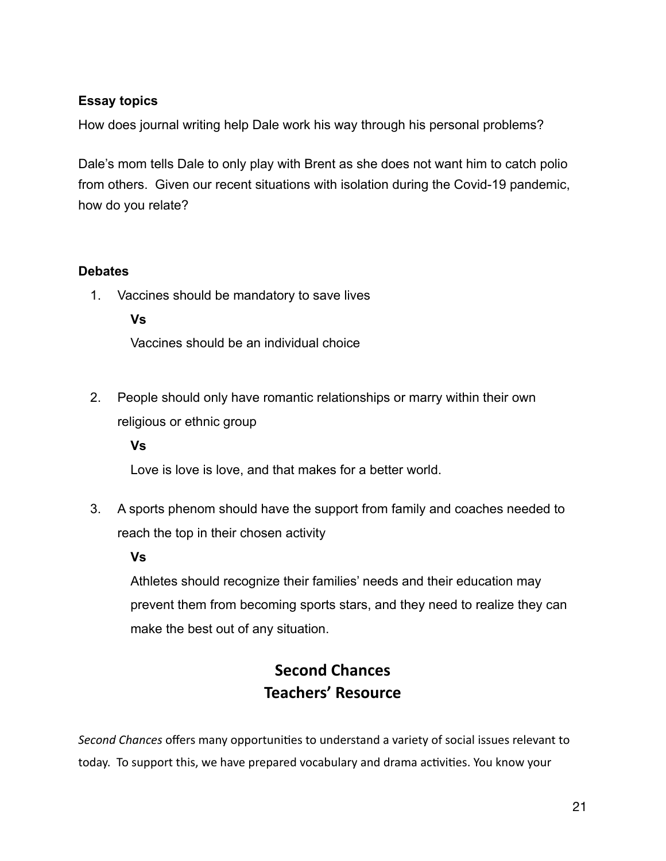### **Essay topics**

How does journal writing help Dale work his way through his personal problems?

Dale's mom tells Dale to only play with Brent as she does not want him to catch polio from others. Given our recent situations with isolation during the Covid-19 pandemic, how do you relate?

#### **Debates**

1. Vaccines should be mandatory to save lives

#### **Vs**

Vaccines should be an individual choice

2. People should only have romantic relationships or marry within their own religious or ethnic group

#### **Vs**

Love is love is love, and that makes for a better world.

3. A sports phenom should have the support from family and coaches needed to reach the top in their chosen activity

#### **Vs**

Athletes should recognize their families' needs and their education may prevent them from becoming sports stars, and they need to realize they can make the best out of any situation.

## **Second Chances Teachers' Resource**

*Second Chances* offers many opportunities to understand a variety of social issues relevant to today. To support this, we have prepared vocabulary and drama activities. You know your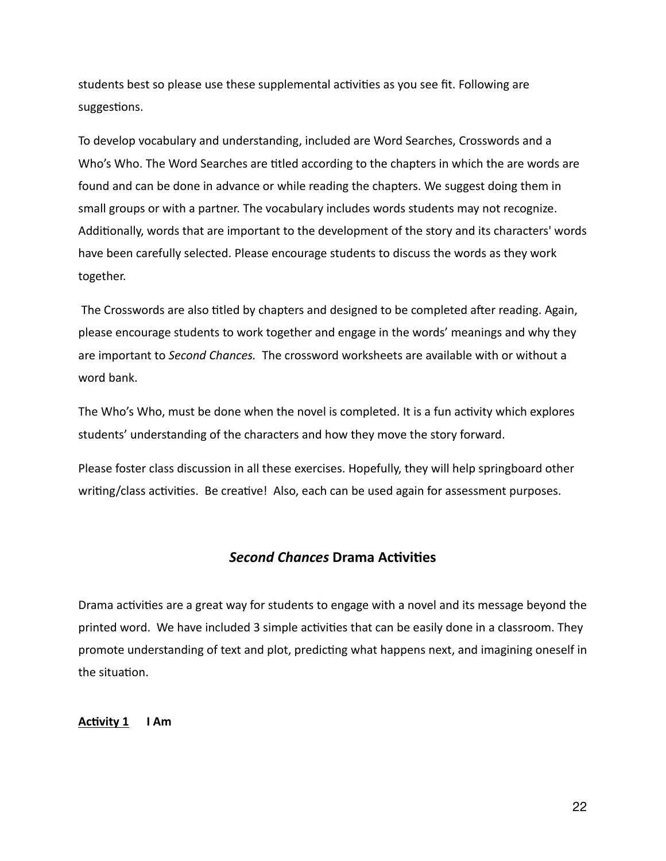students best so please use these supplemental activities as you see fit. Following are suggestions.

To develop vocabulary and understanding, included are Word Searches, Crosswords and a Who's Who. The Word Searches are titled according to the chapters in which the are words are found and can be done in advance or while reading the chapters. We suggest doing them in small groups or with a partner. The vocabulary includes words students may not recognize. Additionally, words that are important to the development of the story and its characters' words have been carefully selected. Please encourage students to discuss the words as they work together.

 The Crosswords are also titled by chapters and designed to be completed after reading. Again, please encourage students to work together and engage in the words' meanings and why they are important to *Second Chances.* The crossword worksheets are available with or without a word bank.

The Who's Who, must be done when the novel is completed. It is a fun activity which explores students' understanding of the characters and how they move the story forward.

Please foster class discussion in all these exercises. Hopefully, they will help springboard other writing/class activities. Be creative! Also, each can be used again for assessment purposes.

#### *Second Chances* **Drama Activities**

Drama activities are a great way for students to engage with a novel and its message beyond the printed word. We have included 3 simple activities that can be easily done in a classroom. They promote understanding of text and plot, predicting what happens next, and imagining oneself in the situation.

#### **Activity 1 I Am**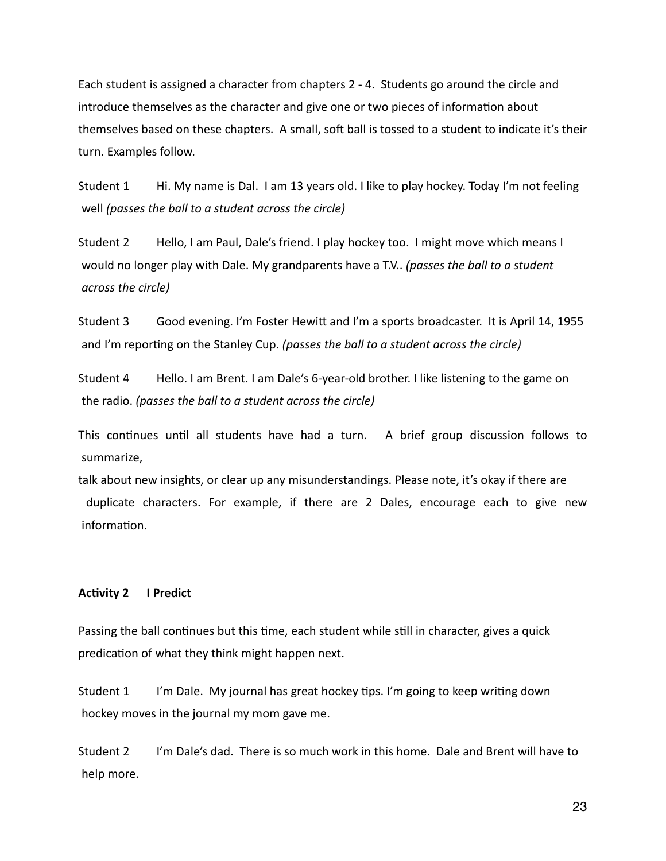Each student is assigned a character from chapters 2 - 4. Students go around the circle and introduce themselves as the character and give one or two pieces of information about themselves based on these chapters. A small, soft ball is tossed to a student to indicate it's their turn. Examples follow.

Student 1 Hi. My name is Dal. I am 13 years old. I like to play hockey. Today I'm not feeling well *(passes the ball to a student across the circle)*

Student 2 Hello, I am Paul, Dale's friend. I play hockey too. I might move which means I would no longer play with Dale. My grandparents have a T.V.. *(passes the ball to a student across the circle)*

Student 3 Good evening. I'm Foster Hewitt and I'm a sports broadcaster. It is April 14, 1955 and I'm reporting on the Stanley Cup. *(passes the ball to a student across the circle)*

Student 4 Hello. I am Brent. I am Dale's 6-year-old brother. I like listening to the game on the radio. *(passes the ball to a student across the circle)*

This continues until all students have had a turn. A brief group discussion follows to summarize,

talk about new insights, or clear up any misunderstandings. Please note, it's okay if there are duplicate characters. For example, if there are 2 Dales, encourage each to give new information.

#### **Activity 2 I Predict**

Passing the ball continues but this time, each student while still in character, gives a quick predication of what they think might happen next.

Student 1 I'm Dale. My journal has great hockey tips. I'm going to keep writing down hockey moves in the journal my mom gave me.

Student 2 I'm Dale's dad. There is so much work in this home. Dale and Brent will have to help more.

23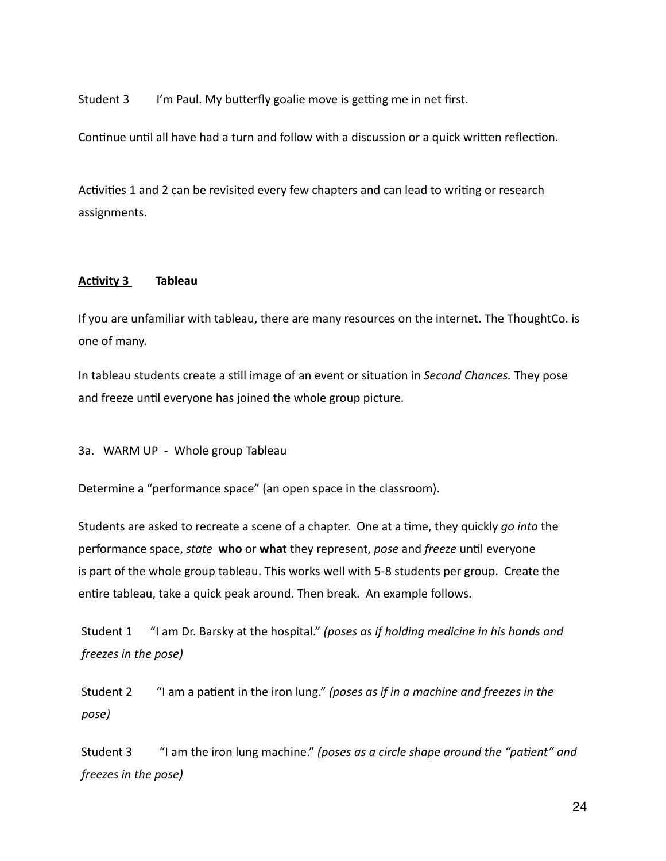Student 3 I'm Paul. My butterfly goalie move is getting me in net first.

Continue until all have had a turn and follow with a discussion or a quick written reflection.

Activities 1 and 2 can be revisited every few chapters and can lead to writing or research assignments.

#### **Activity 3 Tableau**

If you are unfamiliar with tableau, there are many resources on the internet. The ThoughtCo. is one of many.

In tableau students create a still image of an event or situation in *Second Chances.* They pose and freeze until everyone has joined the whole group picture.

3a. WARM UP - Whole group Tableau

Determine a "performance space" (an open space in the classroom).

Students are asked to recreate a scene of a chapter. One at a time, they quickly *go into* the performance space, *state* **who** or **what** they represent, *pose* and *freeze* until everyone is part of the whole group tableau. This works well with 5-8 students per group. Create the entire tableau, take a quick peak around. Then break. An example follows.

 Student 1 "I am Dr. Barsky at the hospital." *(poses as if holding medicine in his hands and freezes in the pose)* 

 Student 2 "I am a patient in the iron lung." *(poses as if in a machine and freezes in the pose)* 

 Student 3 "I am the iron lung machine." *(poses as a circle shape around the "patient" and freezes in the pose)*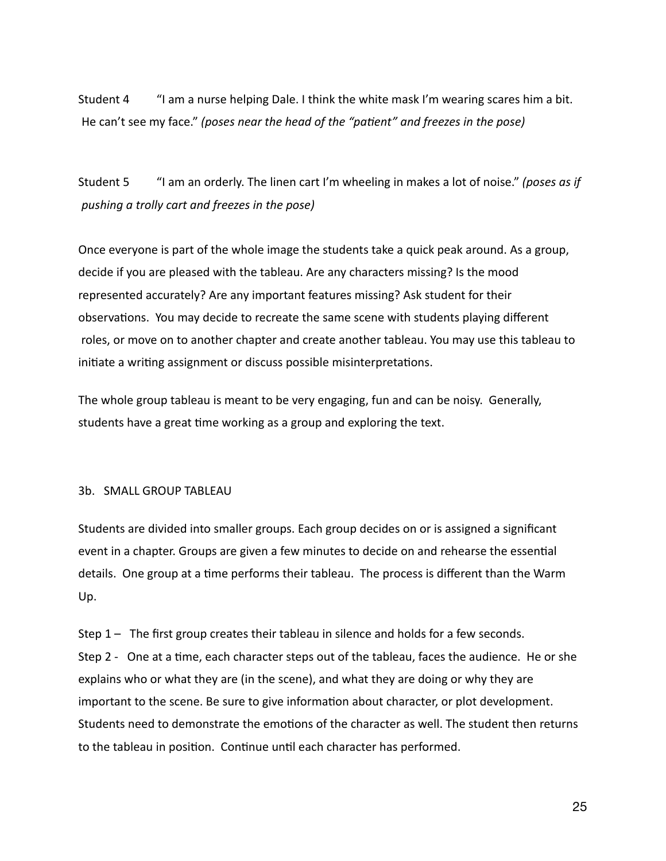Student 4 "I am a nurse helping Dale. I think the white mask I'm wearing scares him a bit. He can't see my face." *(poses near the head of the "patient" and freezes in the pose)*

Student 5 "I am an orderly. The linen cart I'm wheeling in makes a lot of noise." *(poses as if pushing a trolly cart and freezes in the pose)*

Once everyone is part of the whole image the students take a quick peak around. As a group, decide if you are pleased with the tableau. Are any characters missing? Is the mood represented accurately? Are any important features missing? Ask student for their observations. You may decide to recreate the same scene with students playing different roles, or move on to another chapter and create another tableau. You may use this tableau to initiate a writing assignment or discuss possible misinterpretations.

The whole group tableau is meant to be very engaging, fun and can be noisy. Generally, students have a great time working as a group and exploring the text.

#### 3b. SMALL GROUP TABLEAU

Students are divided into smaller groups. Each group decides on or is assigned a significant event in a chapter. Groups are given a few minutes to decide on and rehearse the essential details. One group at a time performs their tableau. The process is different than the Warm Up.

Step 1 – The first group creates their tableau in silence and holds for a few seconds. Step 2 - One at a time, each character steps out of the tableau, faces the audience. He or she explains who or what they are (in the scene), and what they are doing or why they are important to the scene. Be sure to give information about character, or plot development. Students need to demonstrate the emotions of the character as well. The student then returns to the tableau in position. Continue until each character has performed.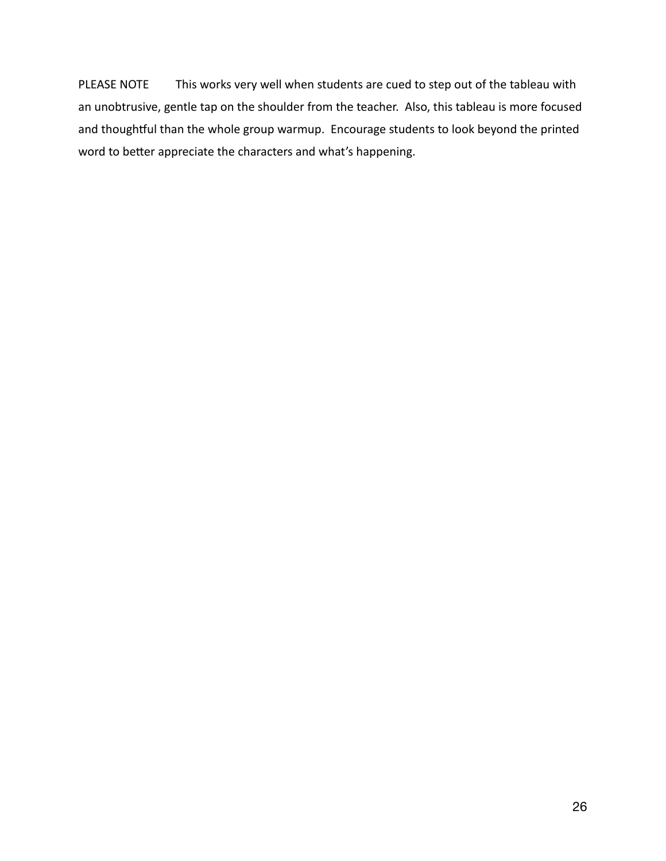PLEASE NOTE This works very well when students are cued to step out of the tableau with an unobtrusive, gentle tap on the shoulder from the teacher. Also, this tableau is more focused and thoughtful than the whole group warmup. Encourage students to look beyond the printed word to better appreciate the characters and what's happening.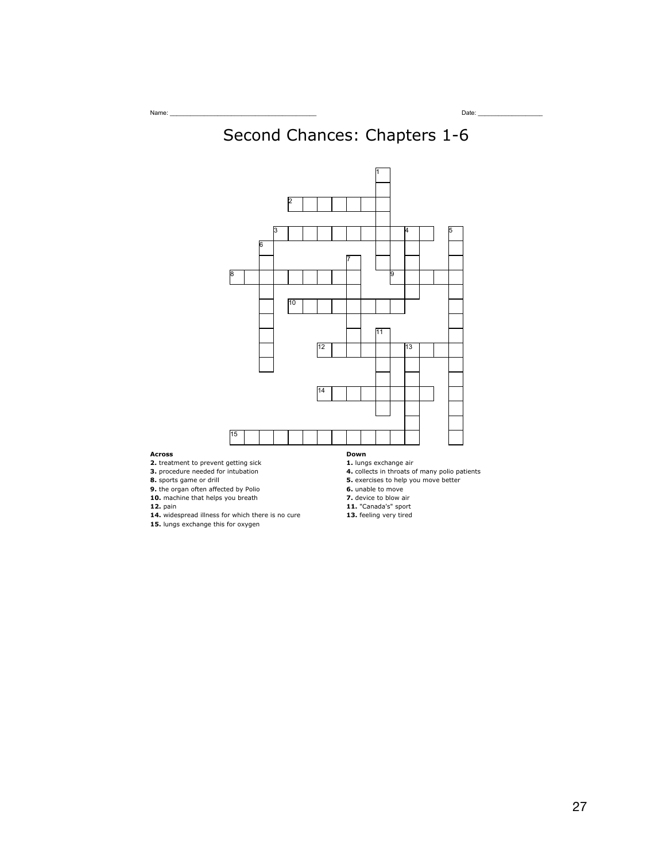# Second Chances: Chapters 1-6



#### **Across**

**2.** treatment to prevent getting sick

**3.** procedure needed for intubation

**8.** sports game or drill

**9.** the organ often affected by Polio

**10.** machine that helps you breath

**12.** pain

- **14.** widespread illness for which there is no cure
- **15.** lungs exchange this for oxygen
- **1.** lungs exchange air
- **4.** collects in throats of many polio patients **5.** exercises to help you move better
- **6.** unable to move
- **7.** device to blow air
- **11.** "Canada's" sport
- **13.** feeling very tired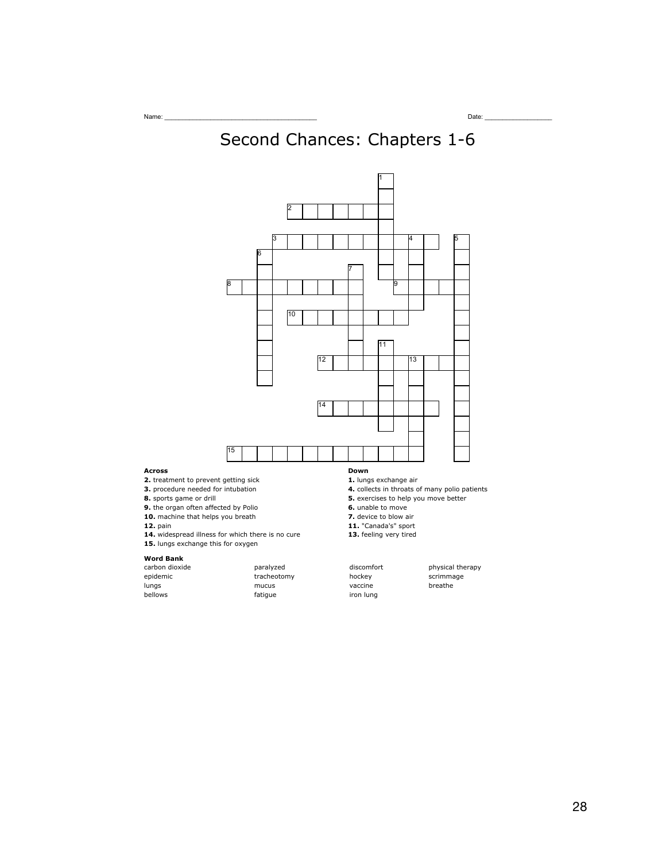# Second Chances: Chapters 1-6



- **8.** sports game or drill **9.** the organ often affected by Polio
- **10.** machine that helps you breath
- **12.** pain

**Across**

- **14.** widespread illness for which there is no cure
- **15.** lungs exchange this for oxygen

#### **Word Bank**

| carbon dioxide | paralyzed   | discomfort | physica |
|----------------|-------------|------------|---------|
| epidemic       | tracheotomy | hockey     | scrimma |
| lungs          | mucus       | vaccine    | breathe |
| bellows        | fatique     | iron lung  |         |

- fatigue iron lung
- 
- 
- **6.** unable to move
- **7.** device to blow air
- **11.** "Canada's" sport
- **13.** feeling very tired
- paralyzed discomfort physical therapy tracheotomy hockey scrimmage<br>mucus vaccine breathe breathe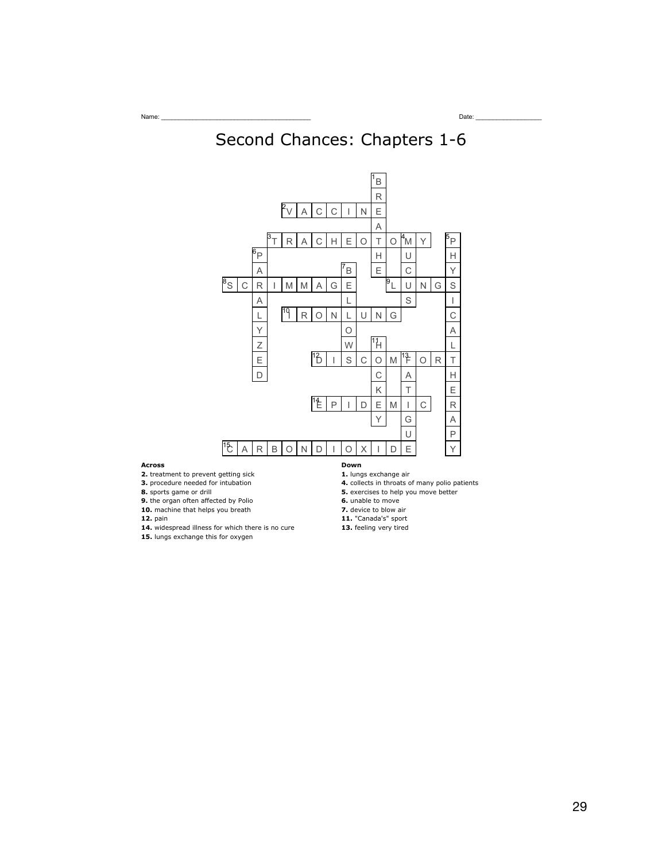



#### **Across**

- **2.** treatment to prevent getting sick
- **3.** procedure needed for intubation
- **8.** sports game or drill
- **9.** the organ often affected by Polio
- **10.** machine that helps you breath
- **12.** pain

- **14.** widespread illness for which there is no cure **15.** lungs exchange this for oxygen
- **1.** lungs exchange air
- **4.** collects in throats of many polio patients
- **5.** exercises to help you move better
- **6.** unable to move
- **7.** device to blow air
- **11.** "Canada's" sport
- **13.** feeling very tired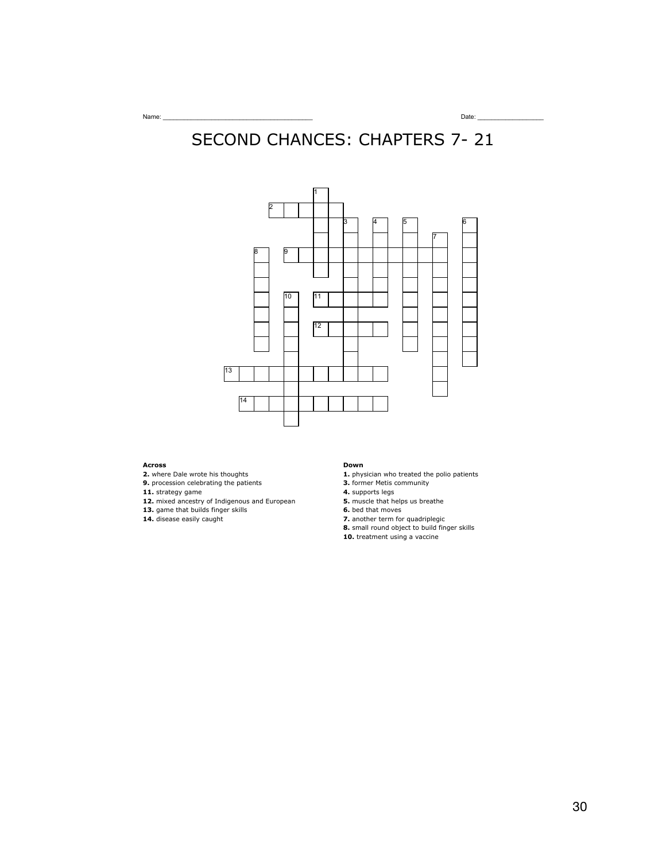## SECOND CHANCES: CHAPTERS 7- 21



#### **Across**

- **2.** where Dale wrote his thoughts
- **9.** procession celebrating the patients
- **11.** strategy game
- **12.** mixed ancestry of Indigenous and European
- **13.** game that builds finger skills
- **14.** disease easily caught

#### **Down**

- **1.** physician who treated the polio patients
- **3.** former Metis community
- **4.** supports legs
- **5.** muscle that helps us breathe
- **6.** bed that moves
- **7.** another term for quadriplegic
- **8.** small round object to build finger skills
- **10.** treatment using a vaccine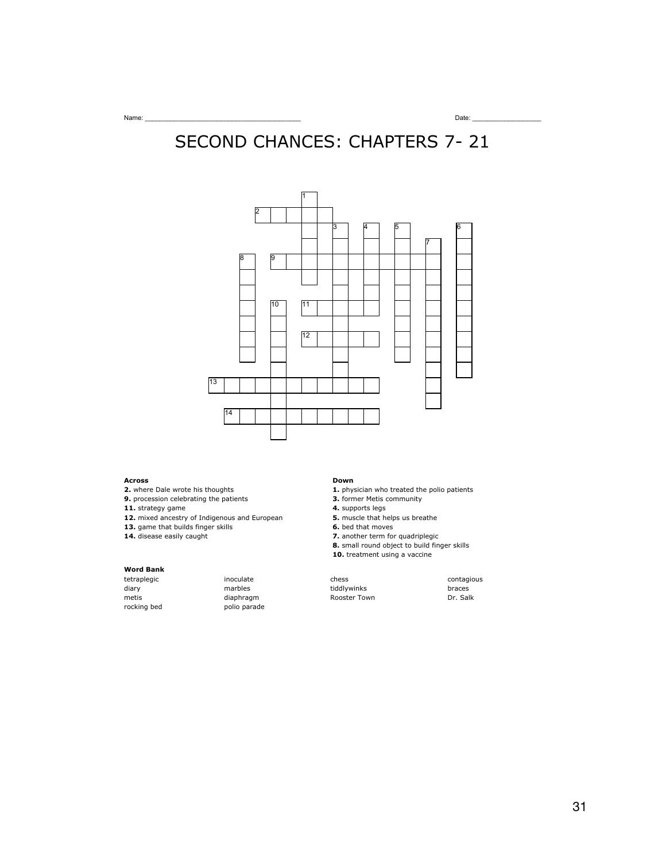# SECOND CHANCES: CHAPTERS 7- 21



#### **Across**

- **2.** where Dale wrote his thoughts
- **9.** procession celebrating the patients
- **11.** strategy game
- **12.** mixed ancestry of Indigenous and European
- **13.** game that builds finger skills
- **14.** disease easily caught

## **Word Bank**

rocking bed polio parade

#### **Down**

- **1.** physician who treated the polio patients
- **3.** former Metis community
- **4.** supports legs
- **5.** muscle that helps us breathe
- **6.** bed that moves
- **7.** another term for quadriplegic **8.** small round object to build finger skills
- **10.** treatment using a vaccine

 $t$ inoculate chess chess contagious diary 1988 marbles tiddlywinks braces braces<br>1989 metis tidaphragm braces diaphragm br. Salk .<br>Rooster Town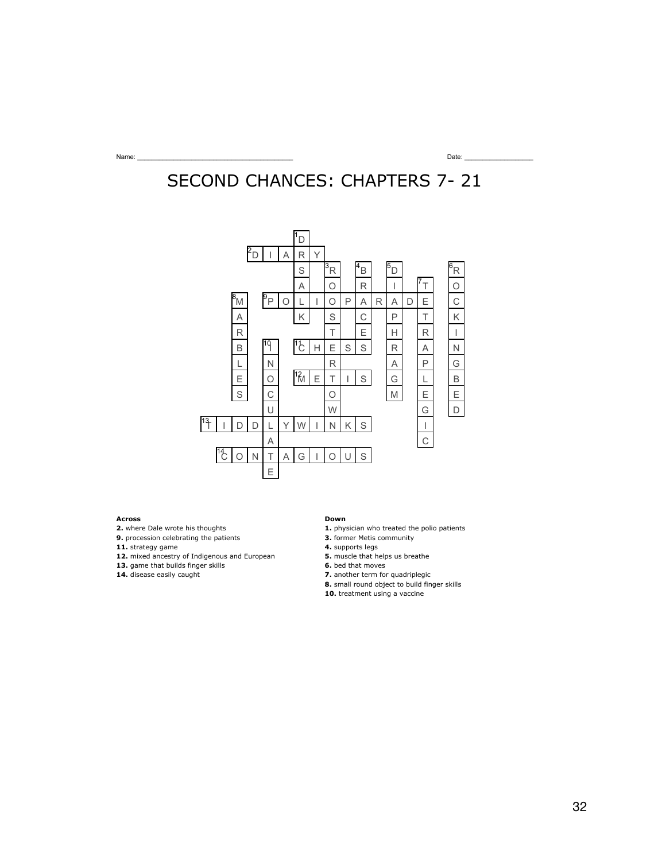# SECOND CHANCES: CHAPTERS 7- 21



#### **Across**

**2.** where Dale wrote his thoughts

**9.** procession celebrating the patients

**11.** strategy game

- **12.** mixed ancestry of Indigenous and European
- **13.** game that builds finger skills
- **14.** disease easily caught

#### **Down**

- **1.** physician who treated the polio patients
- **3.** former Metis community
- **4.** supports legs
- **5.** muscle that helps us breathe
- **6.** bed that moves
- **7.** another term for quadriplegic
- **8.** small round object to build finger skills
- **10.** treatment using a vaccine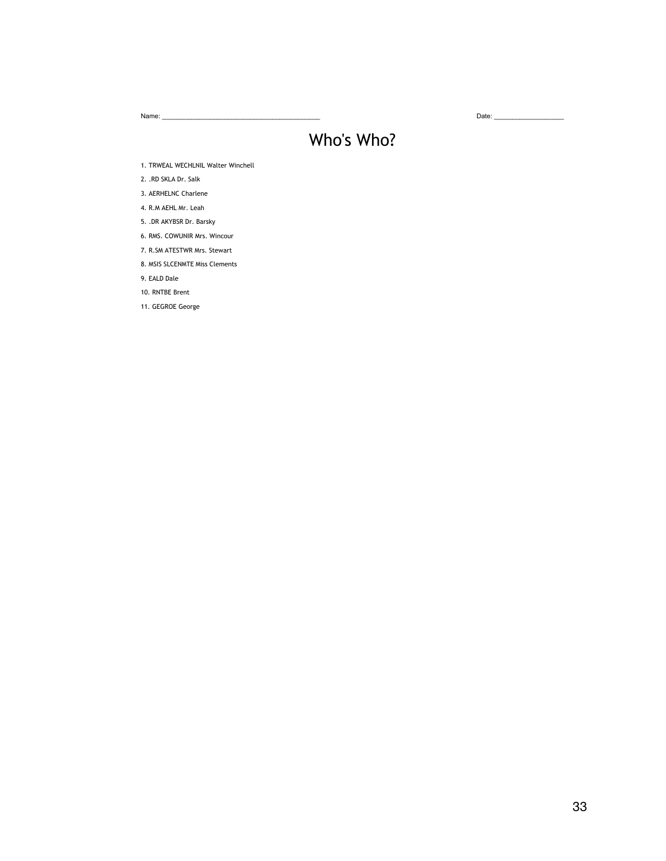Name: \_\_\_\_\_\_\_\_\_\_\_\_\_\_\_\_\_\_\_\_\_\_\_\_\_\_\_\_\_\_\_\_\_\_\_\_\_\_\_\_\_\_\_ Date: \_\_\_\_\_\_\_\_\_\_\_\_\_\_\_\_\_\_\_

## Who's Who?

1. TRWEAL WECHLNIL Walter Winchell

2. .RD SKLA Dr. Salk

3. AERHELNC Charlene

4. R.M AEHL Mr. Leah

5. .DR AKYBSR Dr. Barsky

6. RMS. COWUNIR Mrs. Wincour

7. R.SM ATESTWR Mrs. Stewart

8. MSIS SLCENMTE Miss Clements

9. EALD Dale

10. RNTBE Brent

11. GEGROE George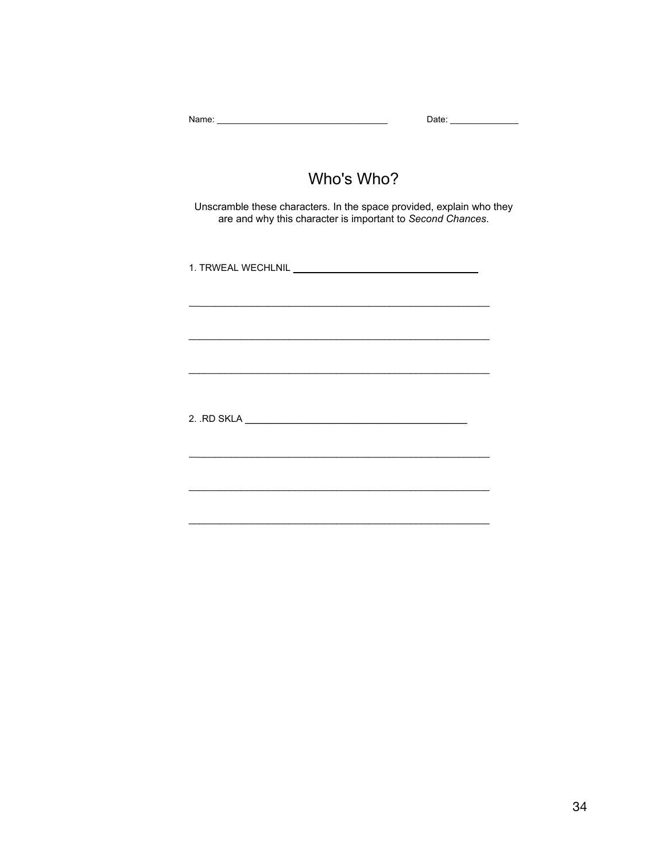| Who's Who?                                                                                                                         |
|------------------------------------------------------------------------------------------------------------------------------------|
| Unscramble these characters. In the space provided, explain who they<br>are and why this character is important to Second Chances. |
| 1. TRWEAL WECHLNIL <b>And All Annual Activity of the Contract of Activity</b> 1.                                                   |
|                                                                                                                                    |
|                                                                                                                                    |
|                                                                                                                                    |
|                                                                                                                                    |
|                                                                                                                                    |
|                                                                                                                                    |
|                                                                                                                                    |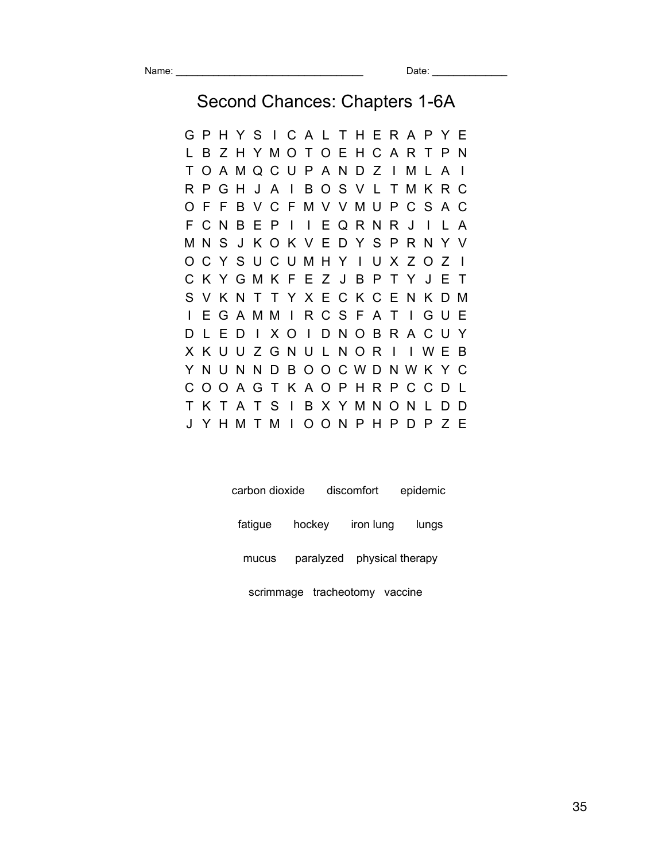Second Chances: Chapters 1-6A

G P H Y S I C A L T H E R A P Y E L B Z H Y M O T O E H C A R T P N T O A M Q C U P A N D Z I M L A I R P G H J A I B O S V L T M K R C O F F B V C F M V V M U P C S A C F C N B E P I I E Q R N R J I L A M N S J K O K V E D Y S P R N Y V O C Y S U C U M H Y I U X Z O Z I C K Y G M K F E Z J B P T Y J E T S V K N T T Y X E C K C E N K D M I E G A M M I R C S F A T I G U E D L E D I X O I D N O B R A C U Y X K U U Z G N U L N O R I I W E B Y N U N N D B O O C W D N W K Y C C O O A G T K A O P H R P C C D L T K T A T S I B X Y M N O N L D D J Y H M T M I O O N P H P D P Z E

| carbon dioxide |                               | discomfort | epidemic |  |  |
|----------------|-------------------------------|------------|----------|--|--|
| fatique        | hockey iron lung              |            | lungs    |  |  |
| mucus          | paralyzed physical therapy    |            |          |  |  |
|                | scrimmage tracheotomy vaccine |            |          |  |  |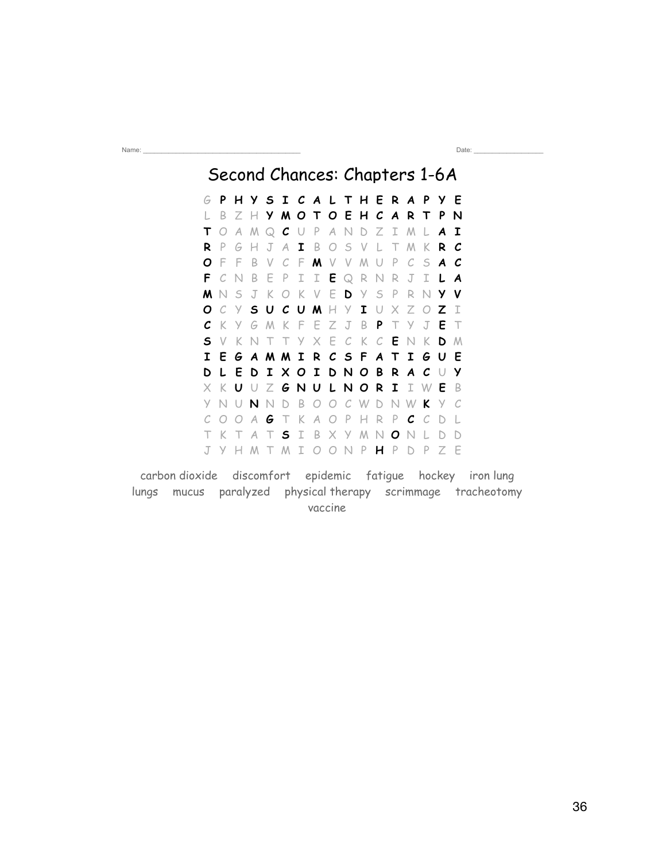Second Chances: Chapters 1-6A G **P H Y S I C A L T H E R A P Y E** L B Z H **Y M O T O E H C A R T P N T** O A M Q **C** U P A N D Z I M L **A I R** P G H J A **I** B O S V L T M K **R C O** F F B V C F **M** V V M U P C S **A C F** C N B E P I I **E** Q R N R J I **L A M** N S J K O K V E **D** Y S P R N **Y V O** C Y **S U C U M** H Y **I** U X Z O **Z** I **C** K Y G M K F E Z J B **P** T Y J **E** T **S** V K N T T Y X E C K C **E** N K **D** M **I E G A M M I R C S F A T I G U E D L E D I X O I D N O B R A C** U **Y** X K **U** U Z **G N U L N O R I** I W **E** B Y N U **N** N D B O O C W D N W **K** Y C C O O A **G** T K A O P H R P **C** C D L T K T A T **S** I B X Y M N **O** N L D D J Y H M T M I O O N P **H** P D P Z E

Name: \_\_\_\_\_\_\_\_\_\_\_\_\_\_\_\_\_\_\_\_\_\_\_\_\_\_\_\_\_\_\_\_\_\_\_\_\_\_\_\_\_\_\_ Date: \_\_\_\_\_\_\_\_\_\_\_\_\_\_\_\_\_\_\_

carbon dioxide discomfort epidemic fatigue hockey iron lung lungs mucus paralyzed physical therapy scrimmage tracheotomy vaccine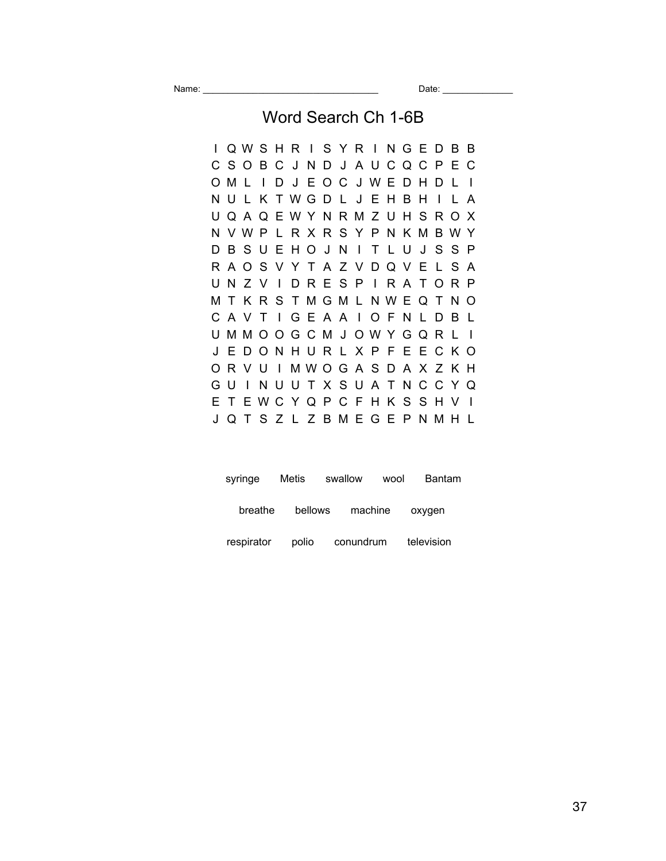Name: \_\_\_\_\_\_\_\_\_\_\_\_\_\_\_\_\_\_\_\_\_\_\_\_\_\_\_\_\_\_\_\_\_\_\_ Date: \_\_\_\_\_\_\_\_\_\_\_\_\_\_

## Word Search Ch 1-6B

I Q W S H R I S Y R I N G E D B B C S O B C J N D J A U C Q C P E C O M L I D J E O C J W E D H D L I N U L K T W G D L J E H B H I L A U Q A Q E W Y N R M Z U H S R O X N V W P L R X R S Y P N K M B W Y D B S U E H O J N I T L U J S S P R A O S V Y T A Z V D Q V E L S A U N Z V I D R E S P I R A T O R P M T K R S T M G M L N W E Q T N O C A V T I G E A A I O F N L D B L U M M O O G C M J O W Y G Q R L I J E D O N H U R L X P F E E C K O O R V U I M W O G A S D A X Z K H G U I N U U T X S U A T N C C Y Q E T E W C Y Q P C F H K S S H V I J Q T S Z L Z B M E G E P N M H L

| syringe    | Metis   | swallow   | Bantam<br>wool |  |
|------------|---------|-----------|----------------|--|
| breathe    | bellows | machine   | oxygen         |  |
| respirator | polio   | conundrum | television     |  |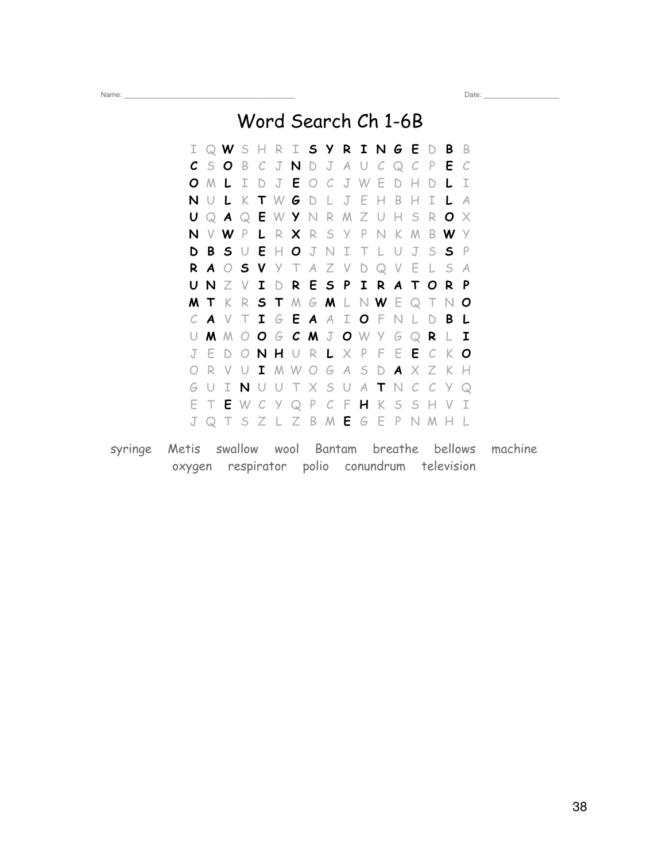Name: \_\_\_\_\_\_\_\_\_\_\_\_\_\_\_\_\_\_\_\_\_\_\_\_\_\_\_\_\_\_\_\_\_\_\_\_\_\_\_\_\_\_\_ Date: \_\_\_\_\_\_\_\_\_\_\_\_\_\_\_\_\_\_\_

Word Search Ch 1-6B

|    |     |  |  |  | I Q W S H R I S Y R I N G E D B B               |  |  |     |               |
|----|-----|--|--|--|-------------------------------------------------|--|--|-----|---------------|
|    |     |  |  |  | $C$ SOBCJNDJAUCQCPEC                            |  |  |     |               |
|    |     |  |  |  | O M L I D J E O C J W E D H D L                 |  |  |     | $\mathbb{I}$  |
| N  |     |  |  |  | U L K T W G D L J E H B H I L                   |  |  |     | $\mathcal{A}$ |
|    |     |  |  |  | U Q A Q E W Y N R M Z U H S R O X               |  |  |     |               |
| N  |     |  |  |  | V W P L R X R S Y P N K M B W Y                 |  |  |     |               |
|    |     |  |  |  | <b>DBSUEHOJNITLUJSSP</b>                        |  |  |     |               |
|    |     |  |  |  | R A O S V Y T A Z V D Q V E L S A               |  |  |     |               |
|    |     |  |  |  | UNZVIDRESPIRATORP                               |  |  |     |               |
|    |     |  |  |  | $M$ T $K$ R $S$ T $M$ $G$ $M$ L $N$ $W$ E $Q$ T |  |  | NO  |               |
|    |     |  |  |  | CAVTIGEAAIOFNLDBL                               |  |  |     |               |
|    |     |  |  |  | U M M O O G C M J O W Y G Q R L I               |  |  |     |               |
|    |     |  |  |  | J E D O N H U R L X P F E E C K O               |  |  |     |               |
|    |     |  |  |  | R V U I M W O G A S D A X Z K H                 |  |  |     |               |
| G  | - U |  |  |  | INUUTXSUATNCC                                   |  |  | Y Q |               |
| E. |     |  |  |  | T E W C Y Q P C F H K S S H V I                 |  |  |     |               |
|    |     |  |  |  | J Q T S Z L Z B M E G E P N M H L               |  |  |     |               |

syringe Metis swallow wool Bantam breathe bellows machine oxygen respirator polio conundrum television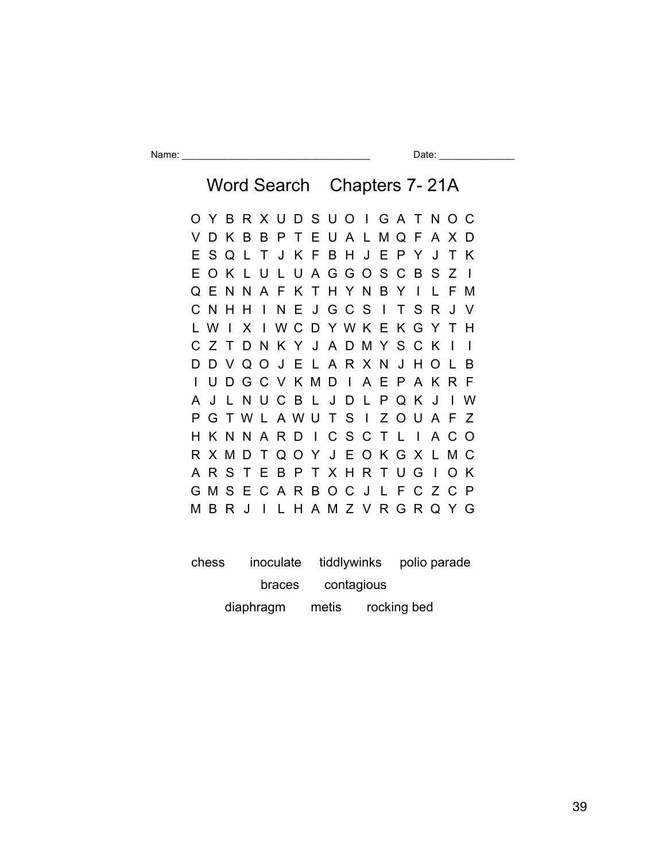Name: \_\_\_\_\_\_\_\_\_\_\_\_\_\_\_\_\_\_\_\_\_\_\_\_\_\_\_\_\_\_\_\_\_\_\_ Date: \_\_\_\_\_\_\_\_\_\_\_\_\_\_

Word Search Chapters 7- 21A O Y B R X U D S U O I G A T N O C V D K B B P T E U A L M Q F A X D E S Q L T J K F B H J E P Y J T K E O K L U L U A G G O S C B S Z I Q E N N A F K T H Y N B Y I L F M C N H H I N E J G C S I T S R J V L W I X I W C D Y W K E K G Y T H C Z T D N K Y J A D M Y S C K I I D D V Q O J E L A R X N J H O L B I U D G C V K M D I A E P A K R F A J L N U C B L J D L P Q K J I W P G T W L A W U T S I Z O U A F Z H K N N A R D I C S C T L I A C O R X M D T Q O Y J E O K G X L M C A R S T E B P T X H R T U G I O K G M S E C A R B O C J L F C Z C P M B R J I L H A M Z V R G R Q Y G

chess inoculate tiddlywinks polio parade braces contagious diaphragm metis rocking bed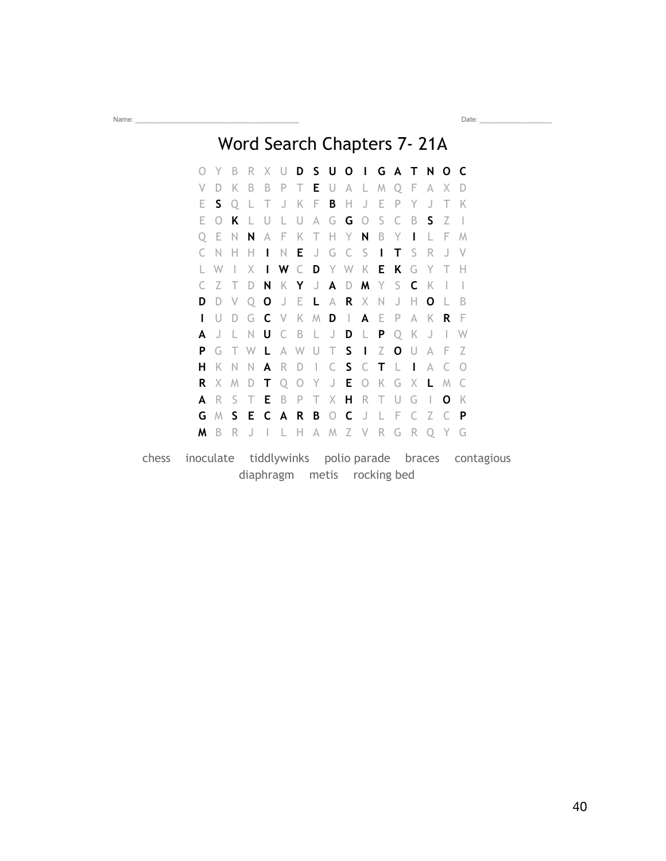## Word Search Chapters 7- 21A

Name: \_\_\_\_\_\_\_\_\_\_\_\_\_\_\_\_\_\_\_\_\_\_\_\_\_\_\_\_\_\_\_\_\_\_\_\_\_\_\_\_\_\_\_ Date: \_\_\_\_\_\_\_\_\_\_\_\_\_\_\_\_\_\_\_

O Y B R X U **D S U O I G A T N O C** V D K B B P T **E** U A L M Q F A X D E **S** Q L T J K F **B** H J E P Y J T K E O **K** L U L U A G **G** O S C B **S** Z I Q E N **N** A F K T H Y **N** B Y **I** L F M C N H H **I** N **E** J G C S **I T** S R J V L W I X **I W** C **D** Y W K **E K** G Y T H C Z T D **N** K **Y** J **A** D **M** Y S **C** K I I **D** D V Q **O** J E **L** A **R** X N J H **O** L B **I** U D G **C** V K M **D** I **A** E P A K **R** F **A** J L N **U** C B L J **D** L **P** Q K J I W **P** G T W **L** A W U T **S I** Z **O** U A F Z **H** K N N **A** R D I C **S** C **T** L **I** A C O **R** X M D **T** Q O Y J **E** O K G X **L** M C **A** R S T **E** B P T X **H** R T U G I **O** K **G** M **S E C A R B** O **C** J L F C Z C **P M** B R J I L H A M Z V R G R Q Y G

chess inoculate tiddlywinks polio parade braces contagious diaphragm metis rocking bed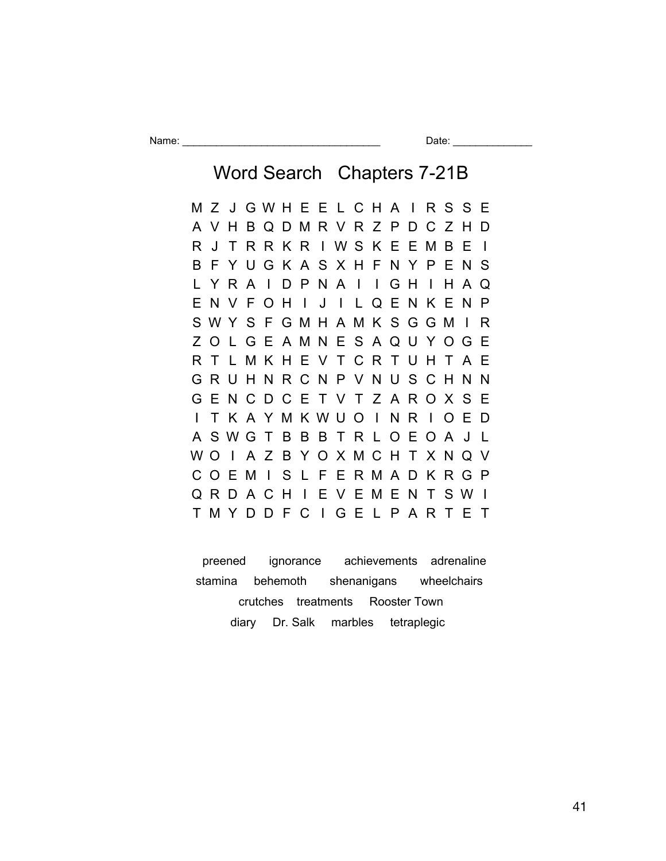Name: \_\_\_\_\_\_\_\_\_\_\_\_\_\_\_\_\_\_\_\_\_\_\_\_\_\_\_\_\_\_\_\_\_\_\_ Date: \_\_\_\_\_\_\_\_\_\_\_\_\_\_

Word Search Chapters 7-21B

M Z J G W H E E L C H A I R S S E A V H B Q D M R V R Z P D C Z H D R J T R R K R I W S K E E M B E I B F Y U G K A S X H F N Y P E N S L Y R A I D P N A I I G H I H A Q E N V F O H I J I L Q E N K E N P S W Y S F G M H A M K S G G M I R Z O L G E A M N E S A Q U Y O G E R T L M K H E V T C R T U H T A E G R U H N R C N P V N U S C H N N G E N C D C E T V T Z A R O X S E I T K A Y M K W U O I N R I O E D A S W G T B B B T R L O E O A J L W O I A Z B Y O X M C H T X N Q V C O E M I S L F E R M A D K R G P Q R D A C H I E V E M E N T S W I T M Y D D F C I G E L P A R T E T

 preened ignorance achievements adrenaline stamina behemoth shenanigans wheelchairs crutches treatments Rooster Town diary Dr. Salk marbles tetraplegic